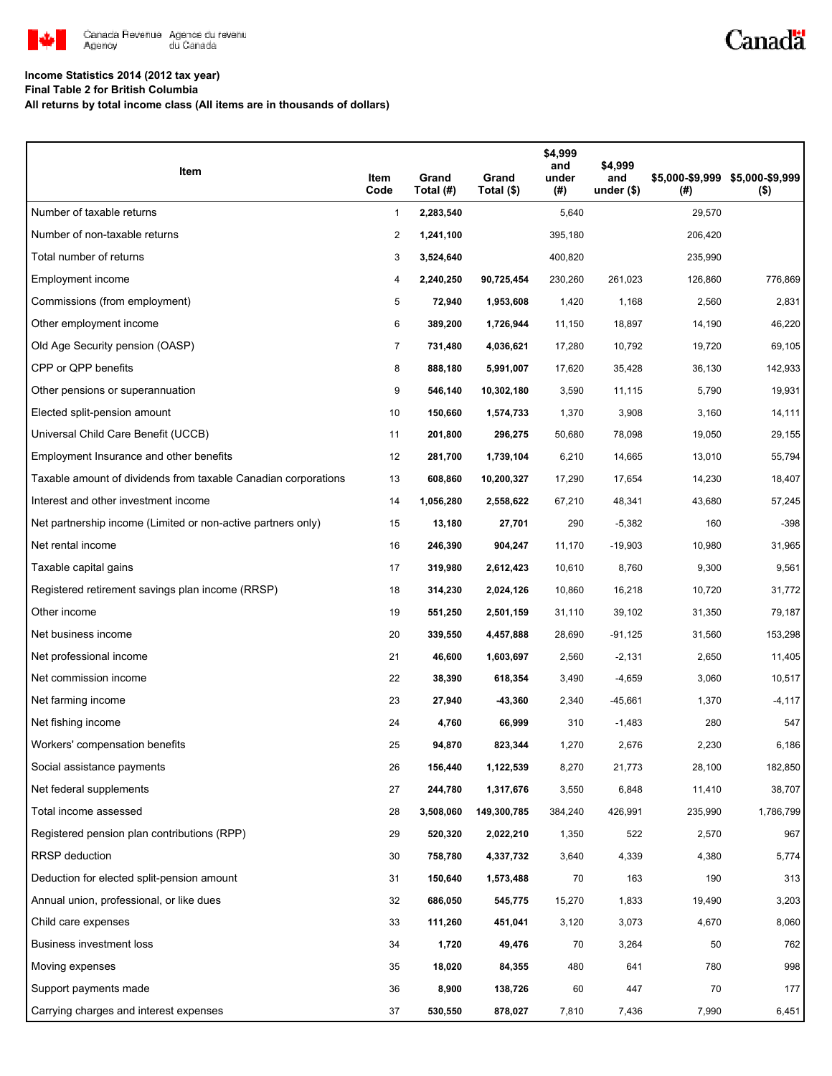

# Canadä

### **Income Statistics 2014 (2012 tax year)**

**Final Table 2 for British Columbia**

**All returns by total income class (All items are in thousands of dollars)**

| Item                                                           | Item<br>Code   | Grand<br>Total (#) | Grand<br>Total (\$) | \$4,999<br>and<br>under<br>(#) | \$4,999<br>and<br>under $($)$ | (#)     | \$5,000-\$9,999 \$5,000-\$9,999<br>$($ \$) |
|----------------------------------------------------------------|----------------|--------------------|---------------------|--------------------------------|-------------------------------|---------|--------------------------------------------|
| Number of taxable returns                                      | 1              | 2,283,540          |                     | 5,640                          |                               | 29,570  |                                            |
| Number of non-taxable returns                                  | 2              | 1,241,100          |                     | 395,180                        |                               | 206,420 |                                            |
| Total number of returns                                        | 3              | 3,524,640          |                     | 400,820                        |                               | 235,990 |                                            |
| Employment income                                              | 4              | 2,240,250          | 90,725,454          | 230,260                        | 261,023                       | 126,860 | 776,869                                    |
| Commissions (from employment)                                  | 5              | 72,940             | 1,953,608           | 1,420                          | 1,168                         | 2,560   | 2,831                                      |
| Other employment income                                        | 6              | 389,200            | 1,726,944           | 11,150                         | 18,897                        | 14,190  | 46,220                                     |
| Old Age Security pension (OASP)                                | $\overline{7}$ | 731,480            | 4,036,621           | 17,280                         | 10,792                        | 19,720  | 69,105                                     |
| CPP or QPP benefits                                            | 8              | 888,180            | 5,991,007           | 17,620                         | 35,428                        | 36,130  | 142,933                                    |
| Other pensions or superannuation                               | 9              | 546,140            | 10,302,180          | 3,590                          | 11,115                        | 5,790   | 19,931                                     |
| Elected split-pension amount                                   | 10             | 150,660            | 1,574,733           | 1,370                          | 3,908                         | 3,160   | 14,111                                     |
| Universal Child Care Benefit (UCCB)                            | 11             | 201,800            | 296,275             | 50,680                         | 78,098                        | 19,050  | 29,155                                     |
| Employment Insurance and other benefits                        | 12             | 281,700            | 1,739,104           | 6,210                          | 14,665                        | 13,010  | 55,794                                     |
| Taxable amount of dividends from taxable Canadian corporations | 13             | 608,860            | 10,200,327          | 17,290                         | 17,654                        | 14,230  | 18,407                                     |
| Interest and other investment income                           | 14             | 1,056,280          | 2,558,622           | 67,210                         | 48,341                        | 43,680  | 57,245                                     |
| Net partnership income (Limited or non-active partners only)   | 15             | 13,180             | 27,701              | 290                            | $-5,382$                      | 160     | $-398$                                     |
| Net rental income                                              | 16             | 246,390            | 904,247             | 11,170                         | $-19,903$                     | 10,980  | 31,965                                     |
| Taxable capital gains                                          | 17             | 319,980            | 2,612,423           | 10,610                         | 8,760                         | 9,300   | 9,561                                      |
| Registered retirement savings plan income (RRSP)               | 18             | 314,230            | 2,024,126           | 10,860                         | 16,218                        | 10,720  | 31,772                                     |
| Other income                                                   | 19             | 551,250            | 2,501,159           | 31,110                         | 39,102                        | 31,350  | 79,187                                     |
| Net business income                                            | 20             | 339,550            | 4,457,888           | 28,690                         | $-91,125$                     | 31,560  | 153,298                                    |
| Net professional income                                        | 21             | 46,600             | 1,603,697           | 2,560                          | $-2,131$                      | 2,650   | 11,405                                     |
| Net commission income                                          | 22             | 38,390             | 618,354             | 3,490                          | $-4,659$                      | 3,060   | 10,517                                     |
| Net farming income                                             | 23             | 27,940             | $-43,360$           | 2,340                          | $-45,661$                     | 1,370   | $-4,117$                                   |
| Net fishing income                                             | 24             | 4,760              | 66,999              | 310                            | $-1,483$                      | 280     | 547                                        |
| Workers' compensation benefits                                 | 25             | 94,870             | 823,344             | 1,270                          | 2,676                         | 2,230   | 6,186                                      |
| Social assistance payments                                     | 26             | 156,440            | 1,122,539           | 8,270                          | 21,773                        | 28,100  | 182,850                                    |
| Net federal supplements                                        | 27             | 244,780            | 1,317,676           | 3,550                          | 6,848                         | 11,410  | 38,707                                     |
| Total income assessed                                          | 28             | 3,508,060          | 149,300,785         | 384,240                        | 426,991                       | 235,990 | 1,786,799                                  |
| Registered pension plan contributions (RPP)                    | 29             | 520,320            | 2,022,210           | 1,350                          | 522                           | 2,570   | 967                                        |
| RRSP deduction                                                 | 30             | 758,780            | 4,337,732           | 3,640                          | 4,339                         | 4,380   | 5,774                                      |
| Deduction for elected split-pension amount                     | 31             | 150,640            | 1,573,488           | 70                             | 163                           | 190     | 313                                        |
| Annual union, professional, or like dues                       | 32             | 686,050            | 545,775             | 15,270                         | 1,833                         | 19,490  | 3,203                                      |
| Child care expenses                                            | 33             | 111,260            | 451,041             | 3,120                          | 3,073                         | 4,670   | 8,060                                      |
| <b>Business investment loss</b>                                | 34             | 1,720              | 49,476              | 70                             | 3,264                         | 50      | 762                                        |
| Moving expenses                                                | 35             | 18,020             | 84,355              | 480                            | 641                           | 780     | 998                                        |
| Support payments made                                          | 36             | 8,900              | 138,726             | 60                             | 447                           | 70      | 177                                        |
| Carrying charges and interest expenses                         | 37             | 530,550            | 878,027             | 7,810                          | 7,436                         | 7,990   | 6,451                                      |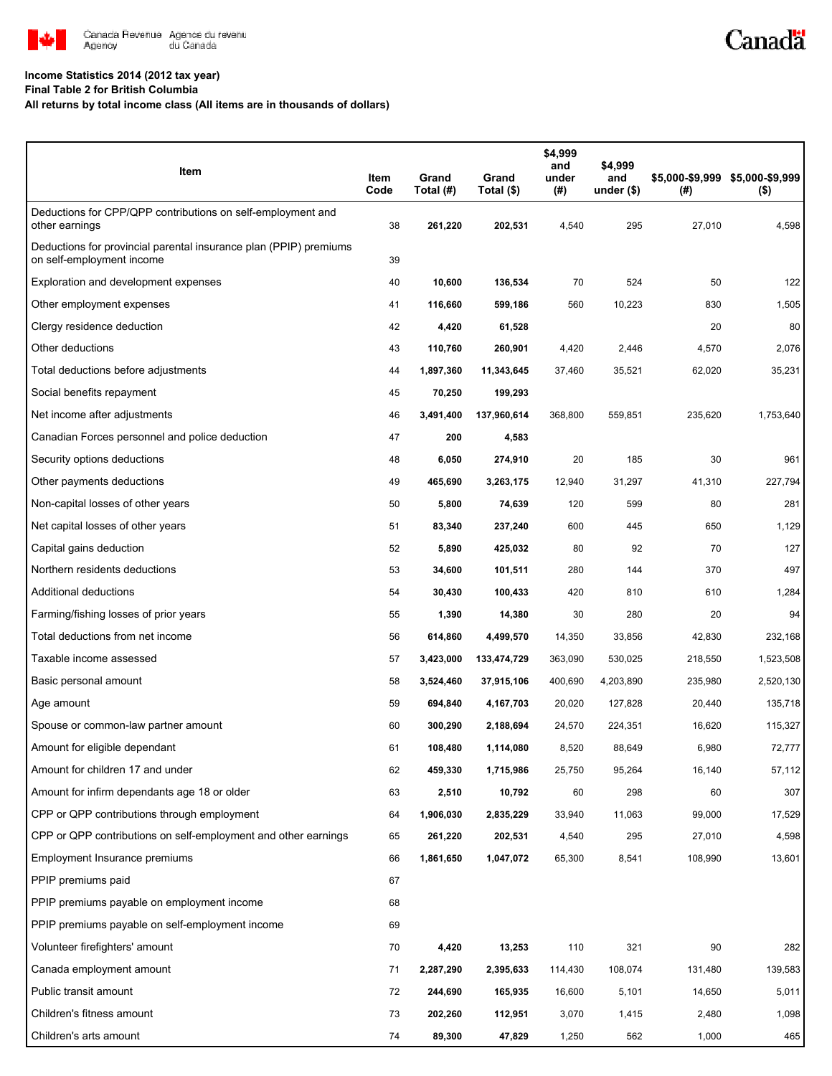

# Canadä

#### **Income Statistics 2014 (2012 tax year)**

**Final Table 2 for British Columbia**

**All returns by total income class (All items are in thousands of dollars)**

| Item                                                                                           | Item<br>Code | Grand<br>Total (#) | Grand<br>Total (\$) | \$4,999<br>and<br>under<br>(# ) | \$4,999<br>and<br>under $(*)$ | (#)     | \$5,000-\$9,999 \$5,000-\$9,999<br>$($ \$) |
|------------------------------------------------------------------------------------------------|--------------|--------------------|---------------------|---------------------------------|-------------------------------|---------|--------------------------------------------|
| Deductions for CPP/QPP contributions on self-employment and<br>other earnings                  | 38           | 261,220            | 202,531             | 4,540                           | 295                           | 27,010  | 4,598                                      |
| Deductions for provincial parental insurance plan (PPIP) premiums<br>on self-employment income | 39           |                    |                     |                                 |                               |         |                                            |
| Exploration and development expenses                                                           | 40           | 10,600             | 136,534             | 70                              | 524                           | 50      | 122                                        |
| Other employment expenses                                                                      | 41           | 116,660            | 599,186             | 560                             | 10,223                        | 830     | 1,505                                      |
| Clergy residence deduction                                                                     | 42           | 4,420              | 61,528              |                                 |                               | 20      | 80                                         |
| Other deductions                                                                               | 43           | 110,760            | 260,901             | 4,420                           | 2,446                         | 4,570   | 2,076                                      |
| Total deductions before adjustments                                                            | 44           | 1,897,360          | 11,343,645          | 37,460                          | 35,521                        | 62,020  | 35,231                                     |
| Social benefits repayment                                                                      | 45           | 70,250             | 199,293             |                                 |                               |         |                                            |
| Net income after adjustments                                                                   | 46           | 3,491,400          | 137,960,614         | 368,800                         | 559,851                       | 235,620 | 1,753,640                                  |
| Canadian Forces personnel and police deduction                                                 | 47           | 200                | 4,583               |                                 |                               |         |                                            |
| Security options deductions                                                                    | 48           | 6,050              | 274,910             | 20                              | 185                           | 30      | 961                                        |
| Other payments deductions                                                                      | 49           | 465,690            | 3,263,175           | 12,940                          | 31,297                        | 41,310  | 227,794                                    |
| Non-capital losses of other years                                                              | 50           | 5,800              | 74,639              | 120                             | 599                           | 80      | 281                                        |
| Net capital losses of other years                                                              | 51           | 83,340             | 237,240             | 600                             | 445                           | 650     | 1,129                                      |
| Capital gains deduction                                                                        | 52           | 5,890              | 425,032             | 80                              | 92                            | 70      | 127                                        |
| Northern residents deductions                                                                  | 53           | 34,600             | 101,511             | 280                             | 144                           | 370     | 497                                        |
| Additional deductions                                                                          | 54           | 30,430             | 100,433             | 420                             | 810                           | 610     | 1,284                                      |
| Farming/fishing losses of prior years                                                          | 55           | 1,390              | 14,380              | 30                              | 280                           | 20      | 94                                         |
| Total deductions from net income                                                               | 56           | 614,860            | 4,499,570           | 14,350                          | 33,856                        | 42,830  | 232,168                                    |
| Taxable income assessed                                                                        | 57           | 3,423,000          | 133,474,729         | 363,090                         | 530,025                       | 218,550 | 1,523,508                                  |
| Basic personal amount                                                                          | 58           | 3,524,460          | 37,915,106          | 400,690                         | 4,203,890                     | 235,980 | 2,520,130                                  |
| Age amount                                                                                     | 59           | 694,840            | 4,167,703           | 20,020                          | 127,828                       | 20,440  | 135,718                                    |
| Spouse or common-law partner amount                                                            | 60           | 300,290            | 2,188,694           | 24,570                          | 224,351                       | 16,620  | 115,327                                    |
| Amount for eligible dependant                                                                  | 61           | 108,480            | 1,114,080           | 8,520                           | 88,649                        | 6,980   | 72,777                                     |
| Amount for children 17 and under                                                               | 62           | 459,330            | 1,715,986           | 25,750                          | 95,264                        | 16,140  | 57,112                                     |
| Amount for infirm dependants age 18 or older                                                   | 63           | 2,510              | 10,792              | 60                              | 298                           | 60      | 307                                        |
| CPP or QPP contributions through employment                                                    | 64           | 1,906,030          | 2,835,229           | 33,940                          | 11,063                        | 99,000  | 17,529                                     |
| CPP or QPP contributions on self-employment and other earnings                                 | 65           | 261,220            | 202,531             | 4,540                           | 295                           | 27,010  | 4,598                                      |
| Employment Insurance premiums                                                                  | 66           | 1,861,650          | 1,047,072           | 65,300                          | 8,541                         | 108,990 | 13,601                                     |
| PPIP premiums paid                                                                             | 67           |                    |                     |                                 |                               |         |                                            |
| PPIP premiums payable on employment income                                                     | 68           |                    |                     |                                 |                               |         |                                            |
| PPIP premiums payable on self-employment income                                                | 69           |                    |                     |                                 |                               |         |                                            |
| Volunteer firefighters' amount                                                                 | 70           | 4,420              | 13,253              | 110                             | 321                           | 90      | 282                                        |
| Canada employment amount                                                                       | 71           | 2,287,290          | 2,395,633           | 114,430                         | 108,074                       | 131,480 | 139,583                                    |
| Public transit amount                                                                          | 72           | 244,690            | 165,935             | 16,600                          | 5,101                         | 14,650  | 5,011                                      |
| Children's fitness amount                                                                      | 73           | 202,260            | 112,951             | 3,070                           | 1,415                         | 2,480   | 1,098                                      |
| Children's arts amount                                                                         | 74           | 89,300             | 47,829              | 1,250                           | 562                           | 1,000   | 465                                        |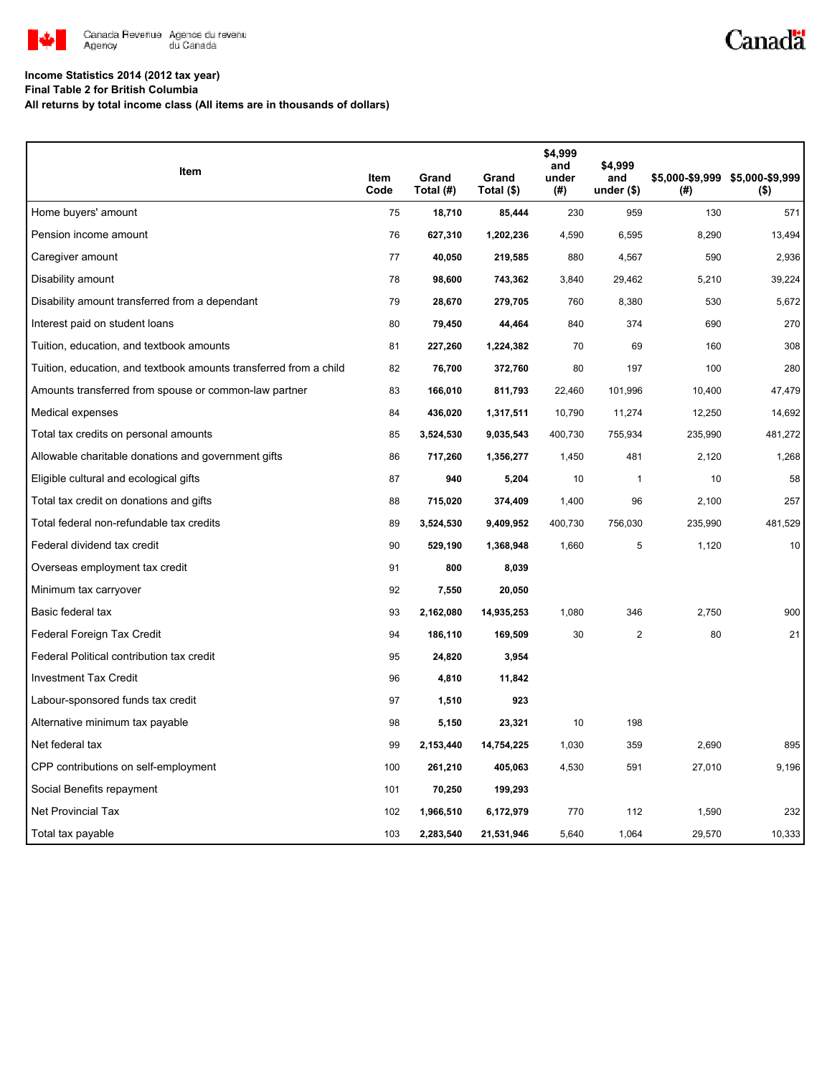

# Canadä

#### **Income Statistics 2014 (2012 tax year)**

**Final Table 2 for British Columbia**

**All returns by total income class (All items are in thousands of dollars)**

| Item                                                              | Item<br>Code | Grand<br>Total (#) | Grand<br>Total (\$) | \$4,999<br>and<br>under<br>(#) | \$4,999<br>and<br>under $($)$ | (#)     | \$5,000-\$9,999 \$5,000-\$9,999<br>$($ \$) |
|-------------------------------------------------------------------|--------------|--------------------|---------------------|--------------------------------|-------------------------------|---------|--------------------------------------------|
| Home buyers' amount                                               | 75           | 18,710             | 85,444              | 230                            | 959                           | 130     | 571                                        |
| Pension income amount                                             | 76           | 627,310            | 1,202,236           | 4,590                          | 6,595                         | 8,290   | 13,494                                     |
| Caregiver amount                                                  | 77           | 40,050             | 219,585             | 880                            | 4,567                         | 590     | 2,936                                      |
| Disability amount                                                 | 78           | 98,600             | 743,362             | 3,840                          | 29,462                        | 5,210   | 39,224                                     |
| Disability amount transferred from a dependant                    | 79           | 28,670             | 279,705             | 760                            | 8,380                         | 530     | 5,672                                      |
| Interest paid on student loans                                    | 80           | 79,450             | 44,464              | 840                            | 374                           | 690     | 270                                        |
| Tuition, education, and textbook amounts                          | 81           | 227,260            | 1,224,382           | 70                             | 69                            | 160     | 308                                        |
| Tuition, education, and textbook amounts transferred from a child | 82           | 76,700             | 372,760             | 80                             | 197                           | 100     | 280                                        |
| Amounts transferred from spouse or common-law partner             | 83           | 166,010            | 811,793             | 22,460                         | 101,996                       | 10,400  | 47,479                                     |
| Medical expenses                                                  | 84           | 436,020            | 1,317,511           | 10,790                         | 11,274                        | 12,250  | 14,692                                     |
| Total tax credits on personal amounts                             | 85           | 3,524,530          | 9,035,543           | 400,730                        | 755,934                       | 235,990 | 481,272                                    |
| Allowable charitable donations and government gifts               | 86           | 717,260            | 1,356,277           | 1,450                          | 481                           | 2,120   | 1,268                                      |
| Eligible cultural and ecological gifts                            | 87           | 940                | 5,204               | 10                             | 1                             | 10      | 58                                         |
| Total tax credit on donations and gifts                           | 88           | 715,020            | 374,409             | 1,400                          | 96                            | 2,100   | 257                                        |
| Total federal non-refundable tax credits                          | 89           | 3,524,530          | 9,409,952           | 400,730                        | 756,030                       | 235,990 | 481,529                                    |
| Federal dividend tax credit                                       | 90           | 529,190            | 1,368,948           | 1,660                          | 5                             | 1,120   | 10                                         |
| Overseas employment tax credit                                    | 91           | 800                | 8,039               |                                |                               |         |                                            |
| Minimum tax carryover                                             | 92           | 7,550              | 20,050              |                                |                               |         |                                            |
| Basic federal tax                                                 | 93           | 2,162,080          | 14,935,253          | 1,080                          | 346                           | 2,750   | 900                                        |
| Federal Foreign Tax Credit                                        | 94           | 186,110            | 169,509             | 30                             | $\overline{c}$                | 80      | 21                                         |
| Federal Political contribution tax credit                         | 95           | 24,820             | 3,954               |                                |                               |         |                                            |
| <b>Investment Tax Credit</b>                                      | 96           | 4,810              | 11,842              |                                |                               |         |                                            |
| Labour-sponsored funds tax credit                                 | 97           | 1,510              | 923                 |                                |                               |         |                                            |
| Alternative minimum tax payable                                   | 98           | 5,150              | 23,321              | 10                             | 198                           |         |                                            |
| Net federal tax                                                   | 99           | 2,153,440          | 14,754,225          | 1,030                          | 359                           | 2,690   | 895                                        |
| CPP contributions on self-employment                              | 100          | 261,210            | 405,063             | 4,530                          | 591                           | 27,010  | 9,196                                      |
| Social Benefits repayment                                         | 101          | 70,250             | 199,293             |                                |                               |         |                                            |
| Net Provincial Tax                                                | 102          | 1,966,510          | 6,172,979           | 770                            | 112                           | 1,590   | 232                                        |
| Total tax payable                                                 | 103          | 2,283,540          | 21,531,946          | 5,640                          | 1,064                         | 29,570  | 10,333                                     |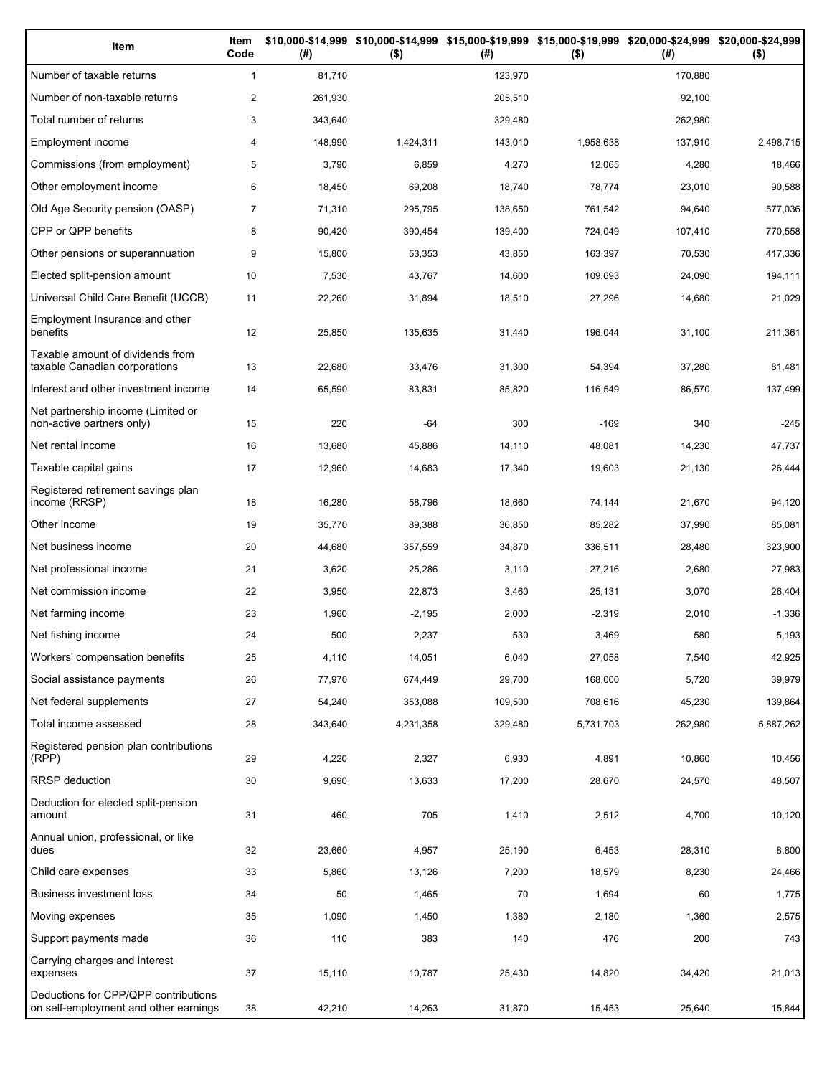| Item                                                                          | Item<br>Code   | (#)     | \$10,000-\$14,999 \$10,000-\$14,999 \$15,000-\$19,999 \$15,000-\$19,999 \$20,000-\$24,999 \$20,000-\$24,999<br>$($ \$) | (#)     | $($ \$)   | (# )    | $($ \$)   |
|-------------------------------------------------------------------------------|----------------|---------|------------------------------------------------------------------------------------------------------------------------|---------|-----------|---------|-----------|
| Number of taxable returns                                                     | $\mathbf{1}$   | 81,710  |                                                                                                                        | 123,970 |           | 170.880 |           |
| Number of non-taxable returns                                                 | $\overline{2}$ | 261,930 |                                                                                                                        | 205,510 |           | 92,100  |           |
| Total number of returns                                                       | 3              | 343,640 |                                                                                                                        | 329,480 |           | 262,980 |           |
| Employment income                                                             | 4              | 148,990 | 1,424,311                                                                                                              | 143,010 | 1,958,638 | 137,910 | 2,498,715 |
| Commissions (from employment)                                                 | 5              | 3,790   | 6,859                                                                                                                  | 4,270   | 12,065    | 4,280   | 18,466    |
| Other employment income                                                       | 6              | 18,450  | 69,208                                                                                                                 | 18,740  | 78,774    | 23,010  | 90,588    |
| Old Age Security pension (OASP)                                               | $\overline{7}$ | 71,310  | 295,795                                                                                                                | 138,650 | 761,542   | 94,640  | 577,036   |
| CPP or QPP benefits                                                           | 8              | 90,420  | 390,454                                                                                                                | 139,400 | 724,049   | 107,410 | 770,558   |
| Other pensions or superannuation                                              | 9              | 15,800  | 53,353                                                                                                                 | 43,850  | 163,397   | 70,530  | 417,336   |
| Elected split-pension amount                                                  | 10             | 7,530   | 43,767                                                                                                                 | 14,600  | 109,693   | 24,090  | 194,111   |
| Universal Child Care Benefit (UCCB)                                           | 11             | 22,260  | 31,894                                                                                                                 | 18,510  | 27,296    | 14,680  | 21,029    |
| Employment Insurance and other<br>benefits                                    | 12             | 25,850  | 135,635                                                                                                                | 31,440  | 196,044   | 31,100  | 211,361   |
| Taxable amount of dividends from<br>taxable Canadian corporations             | 13             | 22,680  | 33,476                                                                                                                 | 31,300  | 54,394    | 37,280  | 81,481    |
| Interest and other investment income                                          | 14             | 65,590  | 83,831                                                                                                                 | 85,820  | 116,549   | 86,570  | 137,499   |
| Net partnership income (Limited or<br>non-active partners only)               | 15             | 220     | -64                                                                                                                    | 300     | $-169$    | 340     | $-245$    |
| Net rental income                                                             | 16             | 13,680  | 45,886                                                                                                                 | 14,110  | 48,081    | 14,230  | 47,737    |
| Taxable capital gains                                                         | 17             | 12,960  | 14,683                                                                                                                 | 17,340  | 19,603    | 21,130  | 26,444    |
| Registered retirement savings plan<br>income (RRSP)                           | 18             | 16,280  | 58,796                                                                                                                 | 18,660  | 74,144    | 21,670  | 94,120    |
| Other income                                                                  | 19             | 35,770  | 89,388                                                                                                                 | 36,850  | 85,282    | 37,990  | 85,081    |
| Net business income                                                           | 20             | 44,680  | 357,559                                                                                                                | 34,870  | 336,511   | 28,480  | 323,900   |
| Net professional income                                                       | 21             | 3,620   | 25,286                                                                                                                 | 3,110   | 27,216    | 2,680   | 27,983    |
| Net commission income                                                         | 22             | 3,950   | 22,873                                                                                                                 | 3,460   | 25,131    | 3,070   | 26,404    |
| Net farming income                                                            | 23             | 1,960   | $-2,195$                                                                                                               | 2,000   | $-2,319$  | 2,010   | $-1,336$  |
| Net fishing income                                                            | 24             | 500     | 2,237                                                                                                                  | 530     | 3,469     | 580     | 5,193     |
| Workers' compensation benefits                                                | 25             | 4,110   | 14,051                                                                                                                 | 6,040   | 27,058    | 7,540   | 42,925    |
| Social assistance payments                                                    | 26             | 77,970  | 674,449                                                                                                                | 29,700  | 168,000   | 5,720   | 39,979    |
| Net federal supplements                                                       | 27             | 54,240  | 353,088                                                                                                                | 109,500 | 708,616   | 45,230  | 139,864   |
| Total income assessed                                                         | 28             | 343,640 | 4,231,358                                                                                                              | 329,480 | 5,731,703 | 262,980 | 5,887,262 |
| Registered pension plan contributions<br>(RPP)                                | 29             | 4,220   | 2,327                                                                                                                  | 6,930   | 4,891     | 10,860  | 10,456    |
| RRSP deduction                                                                | 30             | 9,690   | 13,633                                                                                                                 | 17,200  | 28,670    | 24,570  | 48,507    |
| Deduction for elected split-pension<br>amount                                 | 31             | 460     | 705                                                                                                                    | 1,410   | 2,512     | 4,700   | 10,120    |
| Annual union, professional, or like<br>dues                                   | 32             | 23,660  | 4,957                                                                                                                  | 25,190  | 6,453     | 28,310  | 8,800     |
| Child care expenses                                                           | 33             | 5,860   | 13,126                                                                                                                 | 7,200   | 18,579    | 8,230   | 24,466    |
| Business investment loss                                                      | 34             | 50      | 1,465                                                                                                                  | 70      | 1,694     | 60      | 1,775     |
| Moving expenses                                                               | 35             | 1,090   | 1,450                                                                                                                  | 1,380   | 2,180     | 1,360   | 2,575     |
| Support payments made                                                         | 36             | 110     | 383                                                                                                                    | 140     | 476       | 200     | 743       |
| Carrying charges and interest<br>expenses                                     | 37             | 15,110  | 10,787                                                                                                                 | 25,430  | 14,820    | 34,420  | 21,013    |
| Deductions for CPP/QPP contributions<br>on self-employment and other earnings | 38             | 42,210  | 14,263                                                                                                                 | 31,870  | 15,453    | 25,640  | 15,844    |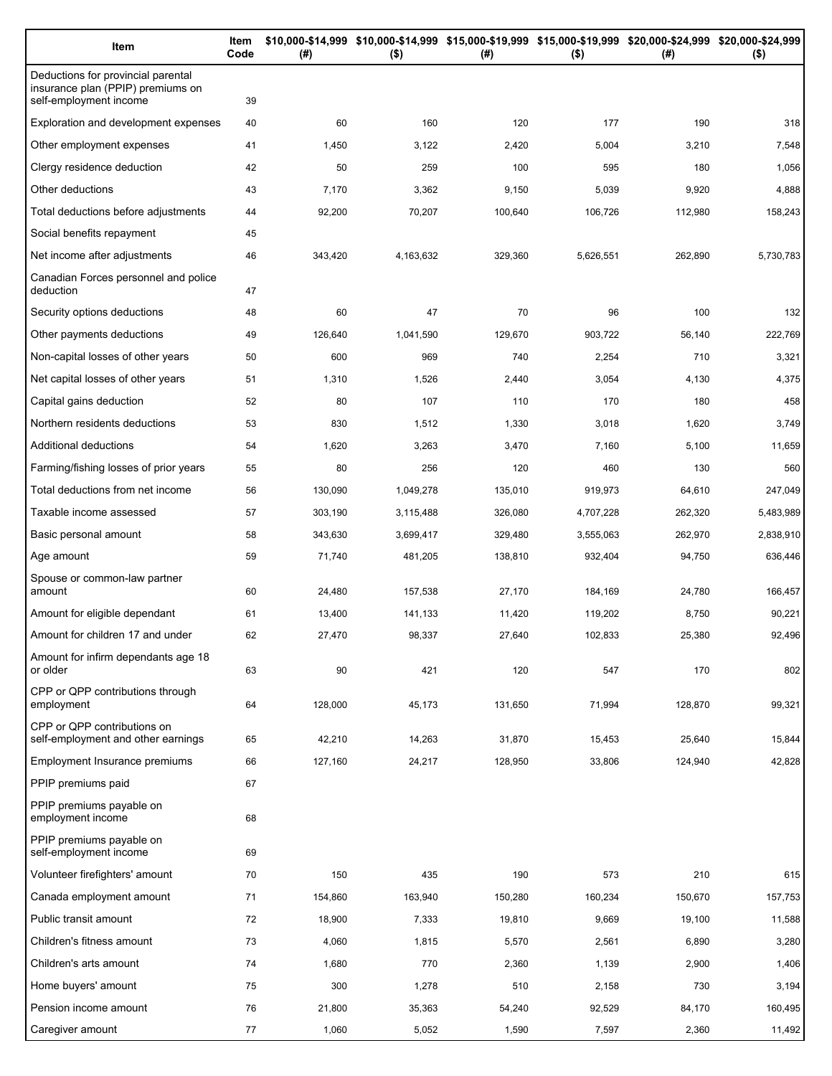| Item                                                                                              | Item<br>Code | (#)     | \$10,000-\$14,999 \$10,000-\$14,999 \$15,000-\$19,999 \$15,000-\$19,999 \$20,000-\$24,999 \$20,000-\$24,999<br>$($ \$) | (#)     | $($ \$)   | (#)     | $($ \$)   |
|---------------------------------------------------------------------------------------------------|--------------|---------|------------------------------------------------------------------------------------------------------------------------|---------|-----------|---------|-----------|
| Deductions for provincial parental<br>insurance plan (PPIP) premiums on<br>self-employment income | 39           |         |                                                                                                                        |         |           |         |           |
| Exploration and development expenses                                                              | 40           | 60      | 160                                                                                                                    | 120     | 177       | 190     | 318       |
| Other employment expenses                                                                         | 41           | 1,450   | 3,122                                                                                                                  | 2,420   | 5,004     | 3,210   | 7,548     |
| Clergy residence deduction                                                                        | 42           | 50      | 259                                                                                                                    | 100     | 595       | 180     | 1,056     |
| Other deductions                                                                                  | 43           | 7,170   | 3,362                                                                                                                  | 9,150   | 5,039     | 9,920   | 4,888     |
| Total deductions before adjustments                                                               | 44           | 92,200  | 70,207                                                                                                                 | 100,640 | 106,726   | 112,980 | 158,243   |
| Social benefits repayment                                                                         | 45           |         |                                                                                                                        |         |           |         |           |
| Net income after adjustments                                                                      | 46           | 343,420 | 4,163,632                                                                                                              | 329,360 | 5,626,551 | 262,890 | 5,730,783 |
| Canadian Forces personnel and police<br>deduction                                                 | 47           |         |                                                                                                                        |         |           |         |           |
| Security options deductions                                                                       | 48           | 60      | 47                                                                                                                     | 70      | 96        | 100     | 132       |
| Other payments deductions                                                                         | 49           | 126,640 | 1,041,590                                                                                                              | 129,670 | 903,722   | 56,140  | 222,769   |
| Non-capital losses of other years                                                                 | 50           | 600     | 969                                                                                                                    | 740     | 2,254     | 710     | 3,321     |
| Net capital losses of other years                                                                 | 51           | 1,310   | 1,526                                                                                                                  | 2,440   | 3,054     | 4,130   | 4,375     |
| Capital gains deduction                                                                           | 52           | 80      | 107                                                                                                                    | 110     | 170       | 180     | 458       |
| Northern residents deductions                                                                     | 53           | 830     | 1,512                                                                                                                  | 1,330   | 3,018     | 1,620   | 3,749     |
| Additional deductions                                                                             | 54           | 1,620   | 3,263                                                                                                                  | 3,470   | 7,160     | 5,100   | 11,659    |
| Farming/fishing losses of prior years                                                             | 55           | 80      | 256                                                                                                                    | 120     | 460       | 130     | 560       |
| Total deductions from net income                                                                  | 56           | 130,090 | 1,049,278                                                                                                              | 135,010 | 919,973   | 64,610  | 247,049   |
| Taxable income assessed                                                                           | 57           | 303,190 | 3,115,488                                                                                                              | 326,080 | 4,707,228 | 262,320 | 5,483,989 |
| Basic personal amount                                                                             | 58           | 343,630 | 3,699,417                                                                                                              | 329,480 | 3,555,063 | 262,970 | 2,838,910 |
| Age amount                                                                                        | 59           | 71,740  | 481,205                                                                                                                | 138,810 | 932,404   | 94,750  | 636,446   |
| Spouse or common-law partner<br>amount                                                            | 60           | 24,480  | 157,538                                                                                                                | 27,170  | 184,169   | 24,780  | 166,457   |
| Amount for eligible dependant                                                                     | 61           | 13,400  | 141,133                                                                                                                | 11,420  | 119,202   | 8,750   | 90,221    |
| Amount for children 17 and under                                                                  | 62           | 27,470  | 98,337                                                                                                                 | 27,640  | 102,833   | 25,380  | 92,496    |
| Amount for infirm dependants age 18<br>or older                                                   | 63           | 90      | 421                                                                                                                    | 120     | 547       | 170     | 802       |
| CPP or QPP contributions through<br>employment                                                    | 64           | 128,000 | 45,173                                                                                                                 | 131,650 | 71,994    | 128,870 | 99,321    |
| CPP or QPP contributions on<br>self-employment and other earnings                                 | 65           | 42,210  | 14,263                                                                                                                 | 31,870  | 15,453    | 25,640  | 15,844    |
| Employment Insurance premiums                                                                     | 66           | 127,160 | 24,217                                                                                                                 | 128,950 | 33,806    | 124,940 | 42,828    |
| PPIP premiums paid                                                                                | 67           |         |                                                                                                                        |         |           |         |           |
| PPIP premiums payable on<br>employment income                                                     | 68           |         |                                                                                                                        |         |           |         |           |
| PPIP premiums payable on<br>self-employment income                                                | 69           |         |                                                                                                                        |         |           |         |           |
| Volunteer firefighters' amount                                                                    | 70           | 150     | 435                                                                                                                    | 190     | 573       | 210     | 615       |
| Canada employment amount                                                                          | 71           | 154,860 | 163,940                                                                                                                | 150,280 | 160,234   | 150,670 | 157,753   |
| Public transit amount                                                                             | 72           | 18,900  | 7,333                                                                                                                  | 19,810  | 9,669     | 19,100  | 11,588    |
| Children's fitness amount                                                                         | 73           | 4,060   | 1,815                                                                                                                  | 5,570   | 2,561     | 6,890   | 3,280     |
| Children's arts amount                                                                            | 74           | 1,680   | 770                                                                                                                    | 2,360   | 1,139     | 2,900   | 1,406     |
| Home buyers' amount                                                                               | 75           | 300     | 1,278                                                                                                                  | 510     | 2,158     | 730     | 3,194     |
| Pension income amount                                                                             | 76           | 21,800  | 35,363                                                                                                                 | 54,240  | 92,529    | 84,170  | 160,495   |
| Caregiver amount                                                                                  | 77           | 1,060   | 5,052                                                                                                                  | 1,590   | 7,597     | 2,360   | 11,492    |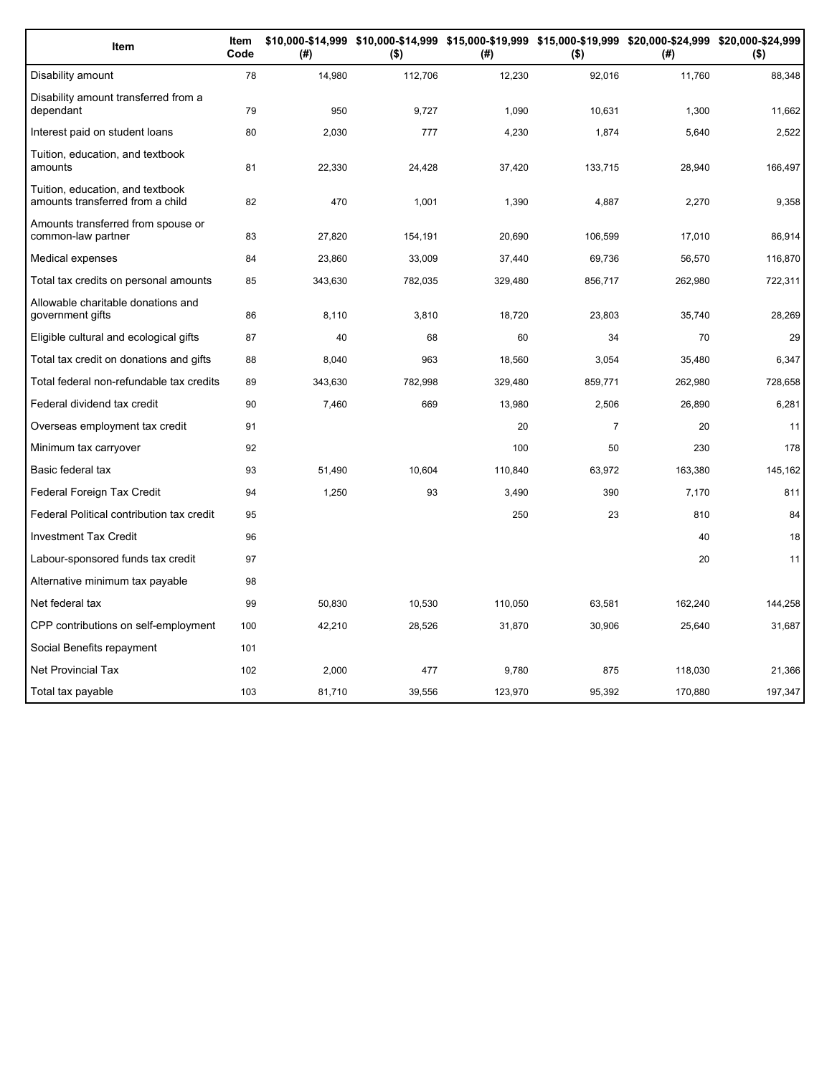| Item                                                                 | Item<br>Code | (#)     | \$10,000-\$14,999 \$10,000-\$14,999 \$15,000-\$19,999 \$15,000-\$19,999 \$20,000-\$24,999 \$20,000-\$24,999<br>$($ \$) | (#)     | $($ \$)        | (#)     | $($ \$) |
|----------------------------------------------------------------------|--------------|---------|------------------------------------------------------------------------------------------------------------------------|---------|----------------|---------|---------|
| Disability amount                                                    | 78           | 14,980  | 112,706                                                                                                                | 12,230  | 92,016         | 11,760  | 88,348  |
| Disability amount transferred from a<br>dependant                    | 79           | 950     | 9,727                                                                                                                  | 1,090   | 10,631         | 1,300   | 11,662  |
| Interest paid on student loans                                       | 80           | 2,030   | 777                                                                                                                    | 4,230   | 1,874          | 5,640   | 2,522   |
| Tuition, education, and textbook<br>amounts                          | 81           | 22,330  | 24,428                                                                                                                 | 37,420  | 133,715        | 28,940  | 166,497 |
| Tuition, education, and textbook<br>amounts transferred from a child | 82           | 470     | 1,001                                                                                                                  | 1,390   | 4,887          | 2,270   | 9,358   |
| Amounts transferred from spouse or<br>common-law partner             | 83           | 27,820  | 154,191                                                                                                                | 20,690  | 106,599        | 17,010  | 86,914  |
| Medical expenses                                                     | 84           | 23,860  | 33,009                                                                                                                 | 37,440  | 69,736         | 56,570  | 116,870 |
| Total tax credits on personal amounts                                | 85           | 343,630 | 782,035                                                                                                                | 329,480 | 856,717        | 262,980 | 722,311 |
| Allowable charitable donations and<br>government gifts               | 86           | 8,110   | 3,810                                                                                                                  | 18,720  | 23,803         | 35,740  | 28,269  |
| Eligible cultural and ecological gifts                               | 87           | 40      | 68                                                                                                                     | 60      | 34             | 70      | 29      |
| Total tax credit on donations and gifts                              | 88           | 8,040   | 963                                                                                                                    | 18,560  | 3,054          | 35,480  | 6,347   |
| Total federal non-refundable tax credits                             | 89           | 343,630 | 782,998                                                                                                                | 329,480 | 859,771        | 262,980 | 728,658 |
| Federal dividend tax credit                                          | 90           | 7,460   | 669                                                                                                                    | 13,980  | 2,506          | 26,890  | 6,281   |
| Overseas employment tax credit                                       | 91           |         |                                                                                                                        | 20      | $\overline{7}$ | 20      | 11      |
| Minimum tax carryover                                                | 92           |         |                                                                                                                        | 100     | 50             | 230     | 178     |
| Basic federal tax                                                    | 93           | 51,490  | 10,604                                                                                                                 | 110,840 | 63,972         | 163,380 | 145,162 |
| Federal Foreign Tax Credit                                           | 94           | 1,250   | 93                                                                                                                     | 3,490   | 390            | 7,170   | 811     |
| Federal Political contribution tax credit                            | 95           |         |                                                                                                                        | 250     | 23             | 810     | 84      |
| <b>Investment Tax Credit</b>                                         | 96           |         |                                                                                                                        |         |                | 40      | 18      |
| Labour-sponsored funds tax credit                                    | 97           |         |                                                                                                                        |         |                | 20      | 11      |
| Alternative minimum tax payable                                      | 98           |         |                                                                                                                        |         |                |         |         |
| Net federal tax                                                      | 99           | 50,830  | 10,530                                                                                                                 | 110,050 | 63,581         | 162,240 | 144,258 |
| CPP contributions on self-employment                                 | 100          | 42,210  | 28,526                                                                                                                 | 31,870  | 30,906         | 25,640  | 31,687  |
| Social Benefits repayment                                            | 101          |         |                                                                                                                        |         |                |         |         |
| <b>Net Provincial Tax</b>                                            | 102          | 2.000   | 477                                                                                                                    | 9,780   | 875            | 118,030 | 21,366  |
| Total tax payable                                                    | 103          | 81,710  | 39,556                                                                                                                 | 123,970 | 95,392         | 170.880 | 197,347 |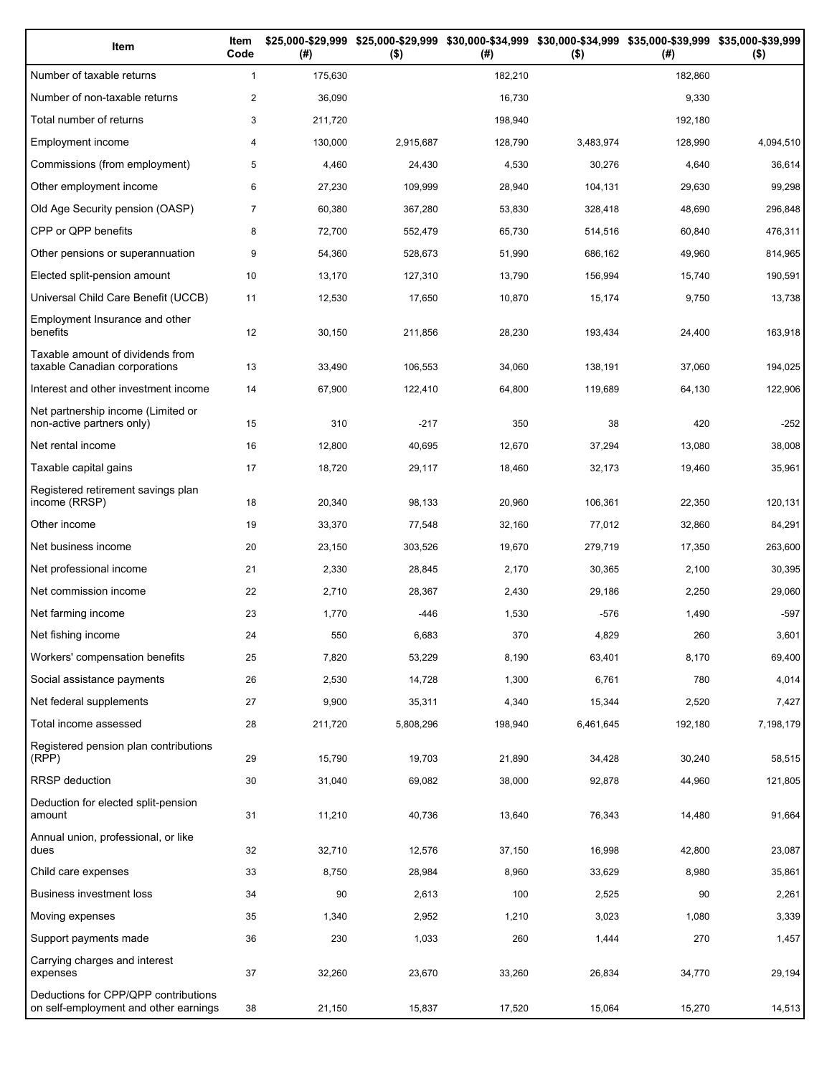| Item                                                                          | Item<br>Code   | (# )    | \$25,000-\$29,999 \$25,000-\$29,999<br>$($ \$) | (# )    | \$30,000-\$34,999 \$30,000-\$34,999 \$35,000-\$39,999 \$35,000-\$39,999<br>$($ \$) | (# )    | $($ \$)   |
|-------------------------------------------------------------------------------|----------------|---------|------------------------------------------------|---------|------------------------------------------------------------------------------------|---------|-----------|
| Number of taxable returns                                                     | $\mathbf{1}$   | 175,630 |                                                | 182,210 |                                                                                    | 182.860 |           |
| Number of non-taxable returns                                                 | $\overline{c}$ | 36,090  |                                                | 16,730  |                                                                                    | 9,330   |           |
| Total number of returns                                                       | 3              | 211,720 |                                                | 198,940 |                                                                                    | 192,180 |           |
| Employment income                                                             | 4              | 130,000 | 2,915,687                                      | 128,790 | 3,483,974                                                                          | 128,990 | 4,094,510 |
| Commissions (from employment)                                                 | 5              | 4,460   | 24,430                                         | 4,530   | 30,276                                                                             | 4,640   | 36,614    |
| Other employment income                                                       | 6              | 27,230  | 109,999                                        | 28,940  | 104,131                                                                            | 29,630  | 99,298    |
| Old Age Security pension (OASP)                                               | $\overline{7}$ | 60,380  | 367,280                                        | 53,830  | 328,418                                                                            | 48,690  | 296,848   |
| CPP or QPP benefits                                                           | 8              | 72,700  | 552,479                                        | 65,730  | 514,516                                                                            | 60,840  | 476,311   |
| Other pensions or superannuation                                              | 9              | 54,360  | 528,673                                        | 51,990  | 686,162                                                                            | 49,960  | 814,965   |
| Elected split-pension amount                                                  | 10             | 13,170  | 127,310                                        | 13,790  | 156,994                                                                            | 15,740  | 190,591   |
| Universal Child Care Benefit (UCCB)                                           | 11             | 12,530  | 17,650                                         | 10,870  | 15,174                                                                             | 9,750   | 13,738    |
| Employment Insurance and other<br>benefits                                    | 12             | 30,150  | 211,856                                        | 28,230  | 193,434                                                                            | 24,400  | 163,918   |
| Taxable amount of dividends from<br>taxable Canadian corporations             | 13             | 33,490  | 106,553                                        | 34,060  | 138,191                                                                            | 37,060  | 194,025   |
| Interest and other investment income                                          | 14             | 67,900  | 122,410                                        | 64,800  | 119,689                                                                            | 64,130  | 122,906   |
| Net partnership income (Limited or<br>non-active partners only)               | 15             | 310     | $-217$                                         | 350     | 38                                                                                 | 420     | $-252$    |
| Net rental income                                                             | 16             | 12,800  | 40,695                                         | 12,670  | 37,294                                                                             | 13,080  | 38,008    |
| Taxable capital gains                                                         | 17             | 18,720  | 29,117                                         | 18,460  | 32,173                                                                             | 19,460  | 35,961    |
| Registered retirement savings plan<br>income (RRSP)                           | 18             | 20,340  | 98,133                                         | 20,960  | 106,361                                                                            | 22,350  | 120,131   |
| Other income                                                                  | 19             | 33,370  | 77,548                                         | 32,160  | 77,012                                                                             | 32,860  | 84,291    |
| Net business income                                                           | 20             | 23,150  | 303,526                                        | 19,670  | 279,719                                                                            | 17,350  | 263,600   |
| Net professional income                                                       | 21             | 2,330   | 28,845                                         | 2,170   | 30,365                                                                             | 2,100   | 30,395    |
| Net commission income                                                         | 22             | 2,710   | 28,367                                         | 2,430   | 29,186                                                                             | 2,250   | 29,060    |
| Net farming income                                                            | 23             | 1,770   | $-446$                                         | 1,530   | $-576$                                                                             | 1,490   | $-597$    |
| Net fishing income                                                            | 24             | 550     | 6,683                                          | 370     | 4,829                                                                              | 260     | 3,601     |
| Workers' compensation benefits                                                | 25             | 7,820   | 53,229                                         | 8,190   | 63,401                                                                             | 8,170   | 69,400    |
| Social assistance payments                                                    | 26             | 2,530   | 14,728                                         | 1,300   | 6,761                                                                              | 780     | 4,014     |
| Net federal supplements                                                       | 27             | 9,900   | 35,311                                         | 4,340   | 15,344                                                                             | 2,520   | 7,427     |
| Total income assessed                                                         | 28             | 211,720 | 5,808,296                                      | 198,940 | 6,461,645                                                                          | 192,180 | 7,198,179 |
| Registered pension plan contributions<br>(RPP)                                | 29             | 15,790  | 19,703                                         | 21,890  | 34,428                                                                             | 30,240  | 58,515    |
| <b>RRSP</b> deduction                                                         | 30             | 31,040  | 69,082                                         | 38,000  | 92,878                                                                             | 44,960  | 121,805   |
| Deduction for elected split-pension<br>amount                                 | 31             | 11,210  | 40,736                                         | 13,640  | 76,343                                                                             | 14,480  | 91,664    |
| Annual union, professional, or like<br>dues                                   | 32             | 32,710  | 12,576                                         | 37,150  | 16,998                                                                             | 42,800  | 23,087    |
| Child care expenses                                                           | 33             | 8,750   | 28,984                                         | 8,960   | 33,629                                                                             | 8,980   | 35,861    |
| Business investment loss                                                      | 34             | 90      | 2,613                                          | 100     | 2,525                                                                              | 90      | 2,261     |
| Moving expenses                                                               | 35             | 1,340   | 2,952                                          | 1,210   | 3,023                                                                              | 1,080   | 3,339     |
| Support payments made                                                         | 36             | 230     | 1,033                                          | 260     | 1,444                                                                              | 270     | 1,457     |
| Carrying charges and interest<br>expenses                                     | 37             | 32,260  | 23,670                                         | 33,260  | 26,834                                                                             | 34,770  | 29,194    |
| Deductions for CPP/QPP contributions<br>on self-employment and other earnings | 38             | 21,150  | 15,837                                         | 17,520  | 15,064                                                                             | 15,270  | 14,513    |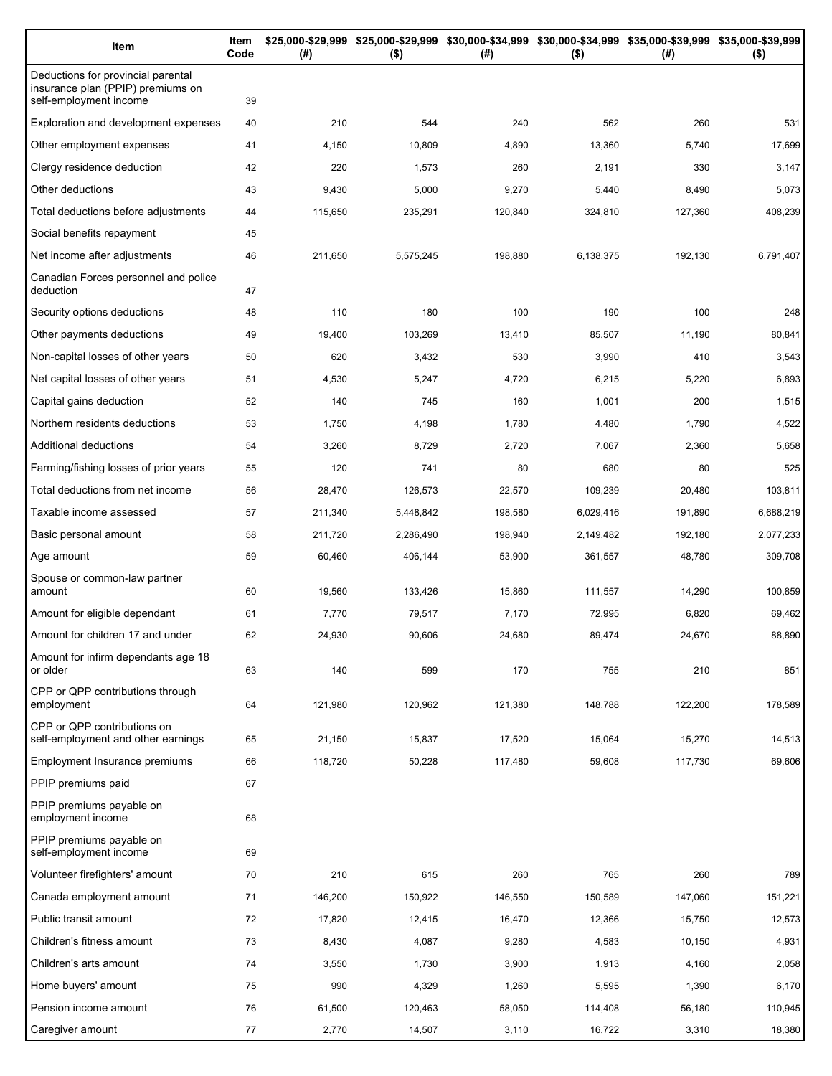| Item                                                                                              | Item<br>Code | (#)     | $($ \$)   | \$25,000-\$29,999 \$25,000-\$29,999 \$30,000-\$34,999 \$30,000-\$34,999 \$35,000-\$39,999 \$35,000-\$39,999<br>(#) | $($ \$)   | (#)     | $($ \$)   |
|---------------------------------------------------------------------------------------------------|--------------|---------|-----------|--------------------------------------------------------------------------------------------------------------------|-----------|---------|-----------|
| Deductions for provincial parental<br>insurance plan (PPIP) premiums on<br>self-employment income | 39           |         |           |                                                                                                                    |           |         |           |
| Exploration and development expenses                                                              | 40           | 210     | 544       | 240                                                                                                                | 562       | 260     | 531       |
| Other employment expenses                                                                         | 41           | 4,150   | 10,809    | 4,890                                                                                                              | 13,360    | 5,740   | 17,699    |
| Clergy residence deduction                                                                        | 42           | 220     | 1,573     | 260                                                                                                                | 2,191     | 330     | 3,147     |
| Other deductions                                                                                  | 43           | 9,430   | 5,000     | 9,270                                                                                                              | 5,440     | 8,490   | 5,073     |
| Total deductions before adjustments                                                               | 44           | 115,650 | 235,291   | 120,840                                                                                                            | 324,810   | 127,360 | 408,239   |
| Social benefits repayment                                                                         | 45           |         |           |                                                                                                                    |           |         |           |
| Net income after adjustments                                                                      | 46           | 211,650 | 5,575,245 | 198,880                                                                                                            | 6,138,375 | 192,130 | 6,791,407 |
| Canadian Forces personnel and police<br>deduction                                                 | 47           |         |           |                                                                                                                    |           |         |           |
| Security options deductions                                                                       | 48           | 110     | 180       | 100                                                                                                                | 190       | 100     | 248       |
| Other payments deductions                                                                         | 49           | 19,400  | 103,269   | 13,410                                                                                                             | 85,507    | 11,190  | 80,841    |
| Non-capital losses of other years                                                                 | 50           | 620     | 3,432     | 530                                                                                                                | 3,990     | 410     | 3,543     |
| Net capital losses of other years                                                                 | 51           | 4,530   | 5,247     | 4,720                                                                                                              | 6,215     | 5,220   | 6,893     |
| Capital gains deduction                                                                           | 52           | 140     | 745       | 160                                                                                                                | 1,001     | 200     | 1,515     |
| Northern residents deductions                                                                     | 53           | 1,750   | 4,198     | 1,780                                                                                                              | 4,480     | 1,790   | 4,522     |
| Additional deductions                                                                             | 54           | 3,260   | 8,729     | 2,720                                                                                                              | 7,067     | 2,360   | 5,658     |
| Farming/fishing losses of prior years                                                             | 55           | 120     | 741       | 80                                                                                                                 | 680       | 80      | 525       |
| Total deductions from net income                                                                  | 56           | 28,470  | 126,573   | 22,570                                                                                                             | 109,239   | 20,480  | 103,811   |
| Taxable income assessed                                                                           | 57           | 211,340 | 5,448,842 | 198,580                                                                                                            | 6,029,416 | 191,890 | 6,688,219 |
| Basic personal amount                                                                             | 58           | 211,720 | 2,286,490 | 198,940                                                                                                            | 2,149,482 | 192,180 | 2,077,233 |
| Age amount                                                                                        | 59           | 60,460  | 406,144   | 53,900                                                                                                             | 361,557   | 48,780  | 309,708   |
| Spouse or common-law partner<br>amount                                                            | 60           | 19,560  | 133,426   | 15,860                                                                                                             | 111,557   | 14,290  | 100,859   |
| Amount for eligible dependant                                                                     | 61           | 7,770   | 79,517    | 7,170                                                                                                              | 72,995    | 6,820   | 69,462    |
| Amount for children 17 and under                                                                  | 62           | 24,930  | 90,606    | 24,680                                                                                                             | 89,474    | 24,670  | 88,890    |
| Amount for infirm dependants age 18<br>or older                                                   | 63           | 140     | 599       | 170                                                                                                                | 755       | 210     | 851       |
| CPP or QPP contributions through<br>employment                                                    | 64           | 121,980 | 120,962   | 121,380                                                                                                            | 148,788   | 122,200 | 178,589   |
| CPP or QPP contributions on<br>self-employment and other earnings                                 | 65           | 21,150  | 15,837    | 17,520                                                                                                             | 15,064    | 15,270  | 14,513    |
| Employment Insurance premiums                                                                     | 66           | 118,720 | 50,228    | 117,480                                                                                                            | 59,608    | 117,730 | 69,606    |
| PPIP premiums paid                                                                                | 67           |         |           |                                                                                                                    |           |         |           |
| PPIP premiums payable on<br>employment income                                                     | 68           |         |           |                                                                                                                    |           |         |           |
| PPIP premiums payable on<br>self-employment income                                                | 69           |         |           |                                                                                                                    |           |         |           |
| Volunteer firefighters' amount                                                                    | 70           | 210     | 615       | 260                                                                                                                | 765       | 260     | 789       |
| Canada employment amount                                                                          | 71           | 146,200 | 150,922   | 146,550                                                                                                            | 150,589   | 147,060 | 151,221   |
| Public transit amount                                                                             | 72           | 17,820  | 12,415    | 16,470                                                                                                             | 12,366    | 15,750  | 12,573    |
| Children's fitness amount                                                                         | 73           | 8,430   | 4,087     | 9,280                                                                                                              | 4,583     | 10,150  | 4,931     |
| Children's arts amount                                                                            | 74           | 3,550   | 1,730     | 3,900                                                                                                              | 1,913     | 4,160   | 2,058     |
| Home buyers' amount                                                                               | 75           | 990     | 4,329     | 1,260                                                                                                              | 5,595     | 1,390   | 6,170     |
| Pension income amount                                                                             | 76           | 61,500  | 120,463   | 58,050                                                                                                             | 114,408   | 56,180  | 110,945   |
| Caregiver amount                                                                                  | 77           | 2,770   | 14,507    | 3,110                                                                                                              | 16,722    | 3,310   | 18,380    |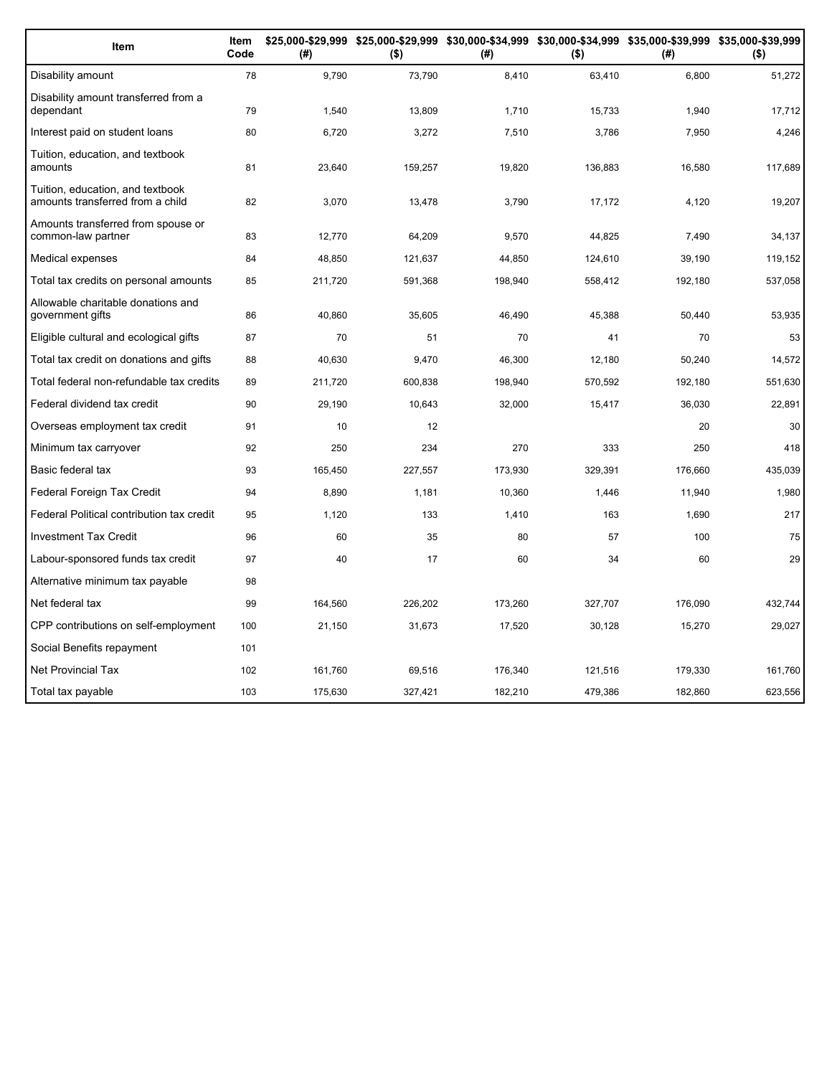| Item                                                                 | Item<br>Code | (#)     | \$25,000-\$29,999 \$25,000-\$29,999 \$30,000-\$34,999 \$30,000-\$34,999 \$35,000-\$39,999 \$35,000-\$39,999<br>$($ \$) | (#)     | $($ \$) | (#)     | $($ \$) |
|----------------------------------------------------------------------|--------------|---------|------------------------------------------------------------------------------------------------------------------------|---------|---------|---------|---------|
| Disability amount                                                    | 78           | 9,790   | 73,790                                                                                                                 | 8,410   | 63,410  | 6,800   | 51,272  |
| Disability amount transferred from a<br>dependant                    | 79           | 1,540   | 13,809                                                                                                                 | 1,710   | 15,733  | 1,940   | 17,712  |
| Interest paid on student loans                                       | 80           | 6,720   | 3,272                                                                                                                  | 7,510   | 3,786   | 7,950   | 4,246   |
| Tuition, education, and textbook<br>amounts                          | 81           | 23,640  | 159,257                                                                                                                | 19,820  | 136,883 | 16,580  | 117,689 |
| Tuition, education, and textbook<br>amounts transferred from a child | 82           | 3,070   | 13,478                                                                                                                 | 3,790   | 17,172  | 4,120   | 19,207  |
| Amounts transferred from spouse or<br>common-law partner             | 83           | 12,770  | 64,209                                                                                                                 | 9,570   | 44,825  | 7,490   | 34,137  |
| Medical expenses                                                     | 84           | 48,850  | 121,637                                                                                                                | 44,850  | 124,610 | 39,190  | 119,152 |
| Total tax credits on personal amounts                                | 85           | 211,720 | 591,368                                                                                                                | 198,940 | 558,412 | 192,180 | 537,058 |
| Allowable charitable donations and<br>government gifts               | 86           | 40,860  | 35,605                                                                                                                 | 46,490  | 45,388  | 50,440  | 53,935  |
| Eligible cultural and ecological gifts                               | 87           | 70      | 51                                                                                                                     | 70      | 41      | 70      | 53      |
| Total tax credit on donations and gifts                              | 88           | 40.630  | 9,470                                                                                                                  | 46,300  | 12,180  | 50.240  | 14,572  |
| Total federal non-refundable tax credits                             | 89           | 211,720 | 600,838                                                                                                                | 198,940 | 570,592 | 192,180 | 551,630 |
| Federal dividend tax credit                                          | 90           | 29,190  | 10,643                                                                                                                 | 32,000  | 15,417  | 36,030  | 22,891  |
| Overseas employment tax credit                                       | 91           | 10      | 12                                                                                                                     |         |         | 20      | 30      |
| Minimum tax carryover                                                | 92           | 250     | 234                                                                                                                    | 270     | 333     | 250     | 418     |
| Basic federal tax                                                    | 93           | 165,450 | 227,557                                                                                                                | 173,930 | 329,391 | 176,660 | 435,039 |
| Federal Foreign Tax Credit                                           | 94           | 8,890   | 1,181                                                                                                                  | 10,360  | 1,446   | 11,940  | 1,980   |
| Federal Political contribution tax credit                            | 95           | 1,120   | 133                                                                                                                    | 1,410   | 163     | 1,690   | 217     |
| <b>Investment Tax Credit</b>                                         | 96           | 60      | 35                                                                                                                     | 80      | 57      | 100     | 75      |
| Labour-sponsored funds tax credit                                    | 97           | 40      | 17                                                                                                                     | 60      | 34      | 60      | 29      |
| Alternative minimum tax payable                                      | 98           |         |                                                                                                                        |         |         |         |         |
| Net federal tax                                                      | 99           | 164,560 | 226,202                                                                                                                | 173,260 | 327,707 | 176,090 | 432,744 |
| CPP contributions on self-employment                                 | 100          | 21,150  | 31,673                                                                                                                 | 17,520  | 30,128  | 15,270  | 29,027  |
| Social Benefits repayment                                            | 101          |         |                                                                                                                        |         |         |         |         |
| <b>Net Provincial Tax</b>                                            | 102          | 161,760 | 69,516                                                                                                                 | 176,340 | 121,516 | 179,330 | 161,760 |
| Total tax payable                                                    | 103          | 175.630 | 327.421                                                                                                                | 182,210 | 479.386 | 182.860 | 623,556 |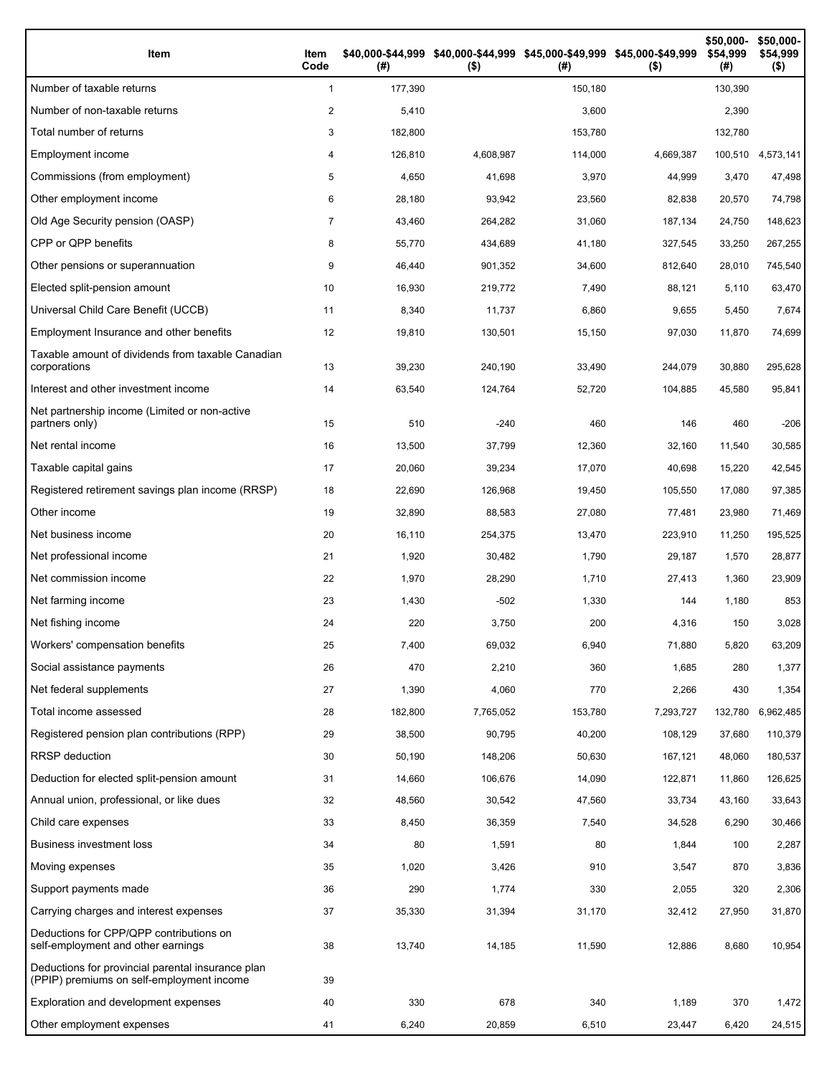| Item                                                                                           | Item<br>Code   | (#)     | \$40,000-\$44,999 \$40,000-\$44,999 \$45,000-\$49,999 \$45,000-\$49,999<br>$($ \$) | (# )    | $($ \$)   | \$50,000-<br>\$54,999<br>(#) | \$50,000-<br>\$54,999<br>$($ \$) |
|------------------------------------------------------------------------------------------------|----------------|---------|------------------------------------------------------------------------------------|---------|-----------|------------------------------|----------------------------------|
| Number of taxable returns                                                                      | $\mathbf{1}$   | 177,390 |                                                                                    | 150,180 |           | 130,390                      |                                  |
| Number of non-taxable returns                                                                  | 2              | 5,410   |                                                                                    | 3,600   |           | 2,390                        |                                  |
| Total number of returns                                                                        | 3              | 182,800 |                                                                                    | 153,780 |           | 132,780                      |                                  |
| Employment income                                                                              | 4              | 126,810 | 4,608,987                                                                          | 114,000 | 4,669,387 | 100,510                      | 4,573,141                        |
| Commissions (from employment)                                                                  | 5              | 4,650   | 41,698                                                                             | 3,970   | 44,999    | 3,470                        | 47,498                           |
| Other employment income                                                                        | 6              | 28,180  | 93,942                                                                             | 23,560  | 82,838    | 20,570                       | 74,798                           |
| Old Age Security pension (OASP)                                                                | $\overline{7}$ | 43,460  | 264,282                                                                            | 31,060  | 187,134   | 24,750                       | 148,623                          |
| CPP or QPP benefits                                                                            | 8              | 55,770  | 434,689                                                                            | 41,180  | 327,545   | 33,250                       | 267,255                          |
| Other pensions or superannuation                                                               | 9              | 46,440  | 901,352                                                                            | 34,600  | 812,640   | 28,010                       | 745,540                          |
| Elected split-pension amount                                                                   | 10             | 16,930  | 219,772                                                                            | 7,490   | 88,121    | 5,110                        | 63,470                           |
| Universal Child Care Benefit (UCCB)                                                            | 11             | 8,340   | 11,737                                                                             | 6,860   | 9,655     | 5,450                        | 7,674                            |
| Employment Insurance and other benefits                                                        | 12             | 19,810  | 130,501                                                                            | 15,150  | 97,030    | 11,870                       | 74,699                           |
| Taxable amount of dividends from taxable Canadian<br>corporations                              | 13             | 39,230  | 240,190                                                                            | 33,490  | 244,079   | 30,880                       | 295,628                          |
| Interest and other investment income                                                           | 14             | 63,540  | 124,764                                                                            | 52,720  | 104,885   | 45,580                       | 95,841                           |
| Net partnership income (Limited or non-active<br>partners only)                                | 15             | 510     | $-240$                                                                             | 460     | 146       | 460                          | $-206$                           |
| Net rental income                                                                              | 16             | 13,500  | 37,799                                                                             | 12,360  | 32,160    | 11,540                       | 30,585                           |
| Taxable capital gains                                                                          | 17             | 20,060  | 39,234                                                                             | 17,070  | 40,698    | 15,220                       | 42,545                           |
| Registered retirement savings plan income (RRSP)                                               | 18             | 22,690  | 126,968                                                                            | 19,450  | 105,550   | 17,080                       | 97,385                           |
| Other income                                                                                   | 19             | 32,890  | 88,583                                                                             | 27,080  | 77,481    | 23,980                       | 71,469                           |
| Net business income                                                                            | 20             | 16,110  | 254,375                                                                            | 13,470  | 223,910   | 11,250                       | 195,525                          |
| Net professional income                                                                        | 21             | 1,920   | 30,482                                                                             | 1,790   | 29,187    | 1,570                        | 28,877                           |
| Net commission income                                                                          | 22             | 1,970   | 28,290                                                                             | 1,710   | 27,413    | 1,360                        | 23,909                           |
| Net farming income                                                                             | 23             | 1,430   | $-502$                                                                             | 1,330   | 144       | 1,180                        | 853                              |
| Net fishing income                                                                             | 24             | 220     | 3,750                                                                              | 200     | 4,316     | 150                          | 3,028                            |
| Workers' compensation benefits                                                                 | 25             | 7,400   | 69,032                                                                             | 6,940   | 71,880    | 5,820                        | 63,209                           |
| Social assistance payments                                                                     | 26             | 470     | 2,210                                                                              | 360     | 1,685     | 280                          | 1,377                            |
| Net federal supplements                                                                        | 27             | 1,390   | 4,060                                                                              | 770     | 2,266     | 430                          | 1,354                            |
| Total income assessed                                                                          | 28             | 182,800 | 7,765,052                                                                          | 153,780 | 7,293,727 | 132,780                      | 6,962,485                        |
| Registered pension plan contributions (RPP)                                                    | 29             | 38,500  | 90,795                                                                             | 40,200  | 108,129   | 37,680                       | 110,379                          |
| RRSP deduction                                                                                 | 30             | 50,190  | 148,206                                                                            | 50,630  | 167,121   | 48,060                       | 180,537                          |
| Deduction for elected split-pension amount                                                     | 31             | 14,660  | 106,676                                                                            | 14,090  | 122,871   | 11,860                       | 126,625                          |
| Annual union, professional, or like dues                                                       | 32             | 48,560  | 30,542                                                                             | 47,560  | 33,734    | 43,160                       | 33,643                           |
| Child care expenses                                                                            | 33             | 8,450   | 36,359                                                                             | 7,540   | 34,528    | 6,290                        | 30,466                           |
| <b>Business investment loss</b>                                                                | 34             | 80      | 1,591                                                                              | 80      | 1,844     | 100                          | 2,287                            |
| Moving expenses                                                                                | 35             | 1,020   | 3,426                                                                              | 910     | 3,547     | 870                          | 3,836                            |
| Support payments made                                                                          | 36             | 290     | 1,774                                                                              | 330     | 2,055     | 320                          | 2,306                            |
| Carrying charges and interest expenses                                                         | 37             | 35,330  | 31,394                                                                             | 31,170  | 32,412    | 27,950                       | 31,870                           |
| Deductions for CPP/QPP contributions on<br>self-employment and other earnings                  | 38             | 13,740  | 14,185                                                                             | 11,590  | 12,886    | 8,680                        | 10,954                           |
| Deductions for provincial parental insurance plan<br>(PPIP) premiums on self-employment income | 39             |         |                                                                                    |         |           |                              |                                  |
| Exploration and development expenses                                                           | 40             | 330     | 678                                                                                | 340     | 1,189     | 370                          | 1,472                            |
| Other employment expenses                                                                      | 41             | 6,240   | 20,859                                                                             | 6,510   | 23,447    | 6,420                        | 24,515                           |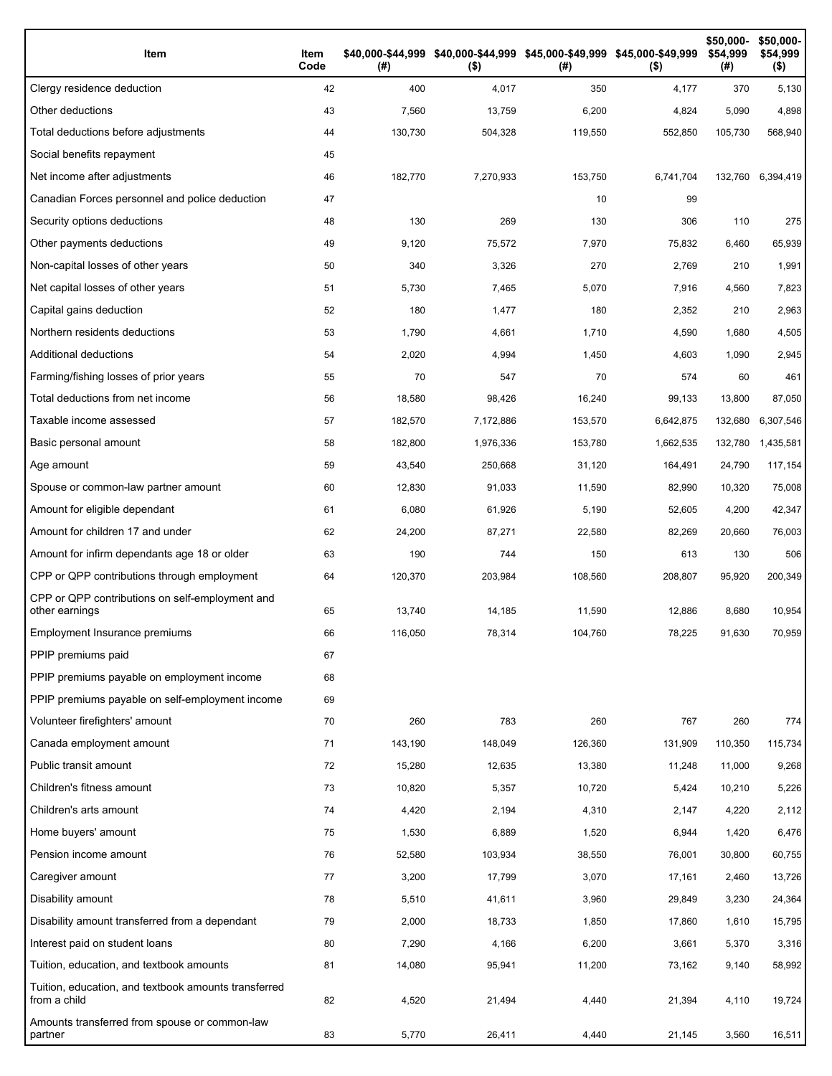| Item                                                                 | Item<br>Code | (# )    | \$40,000-\$44,999 \$40,000-\$44,999 \$45,000-\$49,999 \$45,000-\$49,999<br>$($ \$) | (#)     | $($ \$)   | \$50,000-<br>\$54.999<br>(#) | \$50,000-<br>\$54,999<br>$($ \$) |
|----------------------------------------------------------------------|--------------|---------|------------------------------------------------------------------------------------|---------|-----------|------------------------------|----------------------------------|
| Clergy residence deduction                                           | 42           | 400     | 4,017                                                                              | 350     | 4,177     | 370                          | 5,130                            |
| Other deductions                                                     | 43           | 7,560   | 13,759                                                                             | 6,200   | 4,824     | 5,090                        | 4,898                            |
| Total deductions before adjustments                                  | 44           | 130,730 | 504,328                                                                            | 119,550 | 552,850   | 105,730                      | 568,940                          |
| Social benefits repayment                                            | 45           |         |                                                                                    |         |           |                              |                                  |
| Net income after adjustments                                         | 46           | 182,770 | 7,270,933                                                                          | 153,750 | 6,741,704 | 132,760                      | 6.394.419                        |
| Canadian Forces personnel and police deduction                       | 47           |         |                                                                                    | 10      | 99        |                              |                                  |
| Security options deductions                                          | 48           | 130     | 269                                                                                | 130     | 306       | 110                          | 275                              |
| Other payments deductions                                            | 49           | 9,120   | 75,572                                                                             | 7,970   | 75,832    | 6,460                        | 65,939                           |
| Non-capital losses of other years                                    | 50           | 340     | 3,326                                                                              | 270     | 2,769     | 210                          | 1,991                            |
| Net capital losses of other years                                    | 51           | 5,730   | 7,465                                                                              | 5,070   | 7,916     | 4,560                        | 7,823                            |
| Capital gains deduction                                              | 52           | 180     | 1,477                                                                              | 180     | 2,352     | 210                          | 2,963                            |
| Northern residents deductions                                        | 53           | 1,790   | 4,661                                                                              | 1,710   | 4,590     | 1,680                        | 4,505                            |
| Additional deductions                                                | 54           | 2,020   | 4,994                                                                              | 1,450   | 4,603     | 1,090                        | 2,945                            |
| Farming/fishing losses of prior years                                | 55           | 70      | 547                                                                                | 70      | 574       | 60                           | 461                              |
| Total deductions from net income                                     | 56           | 18,580  | 98,426                                                                             | 16,240  | 99,133    | 13,800                       | 87,050                           |
| Taxable income assessed                                              | 57           | 182,570 | 7,172,886                                                                          | 153,570 | 6,642,875 | 132,680                      | 6,307,546                        |
| Basic personal amount                                                | 58           | 182,800 | 1,976,336                                                                          | 153,780 | 1,662,535 | 132,780                      | 1,435,581                        |
| Age amount                                                           | 59           | 43,540  | 250,668                                                                            | 31,120  | 164,491   | 24,790                       | 117,154                          |
| Spouse or common-law partner amount                                  | 60           | 12,830  | 91,033                                                                             | 11,590  | 82,990    | 10,320                       | 75,008                           |
| Amount for eligible dependant                                        | 61           | 6,080   | 61,926                                                                             | 5,190   | 52,605    | 4,200                        | 42,347                           |
| Amount for children 17 and under                                     | 62           | 24,200  | 87,271                                                                             | 22,580  | 82,269    | 20,660                       | 76,003                           |
| Amount for infirm dependants age 18 or older                         | 63           | 190     | 744                                                                                | 150     | 613       | 130                          | 506                              |
| CPP or QPP contributions through employment                          | 64           | 120,370 | 203,984                                                                            | 108,560 | 208,807   | 95,920                       | 200,349                          |
| CPP or QPP contributions on self-employment and<br>other earnings    | 65           | 13,740  | 14,185                                                                             | 11,590  | 12,886    | 8,680                        | 10,954                           |
| Employment Insurance premiums                                        | 66           | 116,050 | 78,314                                                                             | 104,760 | 78,225    | 91,630                       | 70,959                           |
| PPIP premiums paid                                                   | 67           |         |                                                                                    |         |           |                              |                                  |
| PPIP premiums payable on employment income                           | 68           |         |                                                                                    |         |           |                              |                                  |
| PPIP premiums payable on self-employment income                      | 69           |         |                                                                                    |         |           |                              |                                  |
| Volunteer firefighters' amount                                       | 70           | 260     | 783                                                                                | 260     | 767       | 260                          | 774                              |
| Canada employment amount                                             | 71           | 143,190 | 148,049                                                                            | 126,360 | 131,909   | 110,350                      | 115,734                          |
| Public transit amount                                                | 72           | 15,280  | 12,635                                                                             | 13,380  | 11,248    | 11,000                       | 9,268                            |
| Children's fitness amount                                            | 73           | 10,820  | 5,357                                                                              | 10,720  | 5,424     | 10,210                       | 5,226                            |
| Children's arts amount                                               | 74           | 4,420   | 2,194                                                                              | 4,310   | 2,147     | 4,220                        | 2,112                            |
| Home buyers' amount                                                  | 75           | 1,530   | 6,889                                                                              | 1,520   | 6,944     | 1,420                        | 6,476                            |
| Pension income amount                                                | 76           | 52,580  | 103,934                                                                            | 38,550  | 76,001    | 30,800                       | 60,755                           |
| Caregiver amount                                                     | 77           | 3,200   | 17,799                                                                             | 3,070   | 17,161    | 2,460                        | 13,726                           |
| Disability amount                                                    | 78           | 5,510   | 41,611                                                                             | 3,960   | 29,849    | 3,230                        | 24,364                           |
| Disability amount transferred from a dependant                       | 79           | 2,000   | 18,733                                                                             | 1,850   | 17,860    | 1,610                        | 15,795                           |
| Interest paid on student loans                                       | 80           | 7,290   | 4,166                                                                              | 6,200   | 3,661     | 5,370                        | 3,316                            |
| Tuition, education, and textbook amounts                             | 81           | 14,080  | 95,941                                                                             | 11,200  | 73,162    | 9,140                        | 58,992                           |
| Tuition, education, and textbook amounts transferred<br>from a child | 82           | 4,520   | 21,494                                                                             | 4,440   | 21,394    | 4,110                        | 19,724                           |
| Amounts transferred from spouse or common-law<br>partner             | 83           | 5,770   | 26,411                                                                             | 4,440   | 21,145    | 3,560                        | 16,511                           |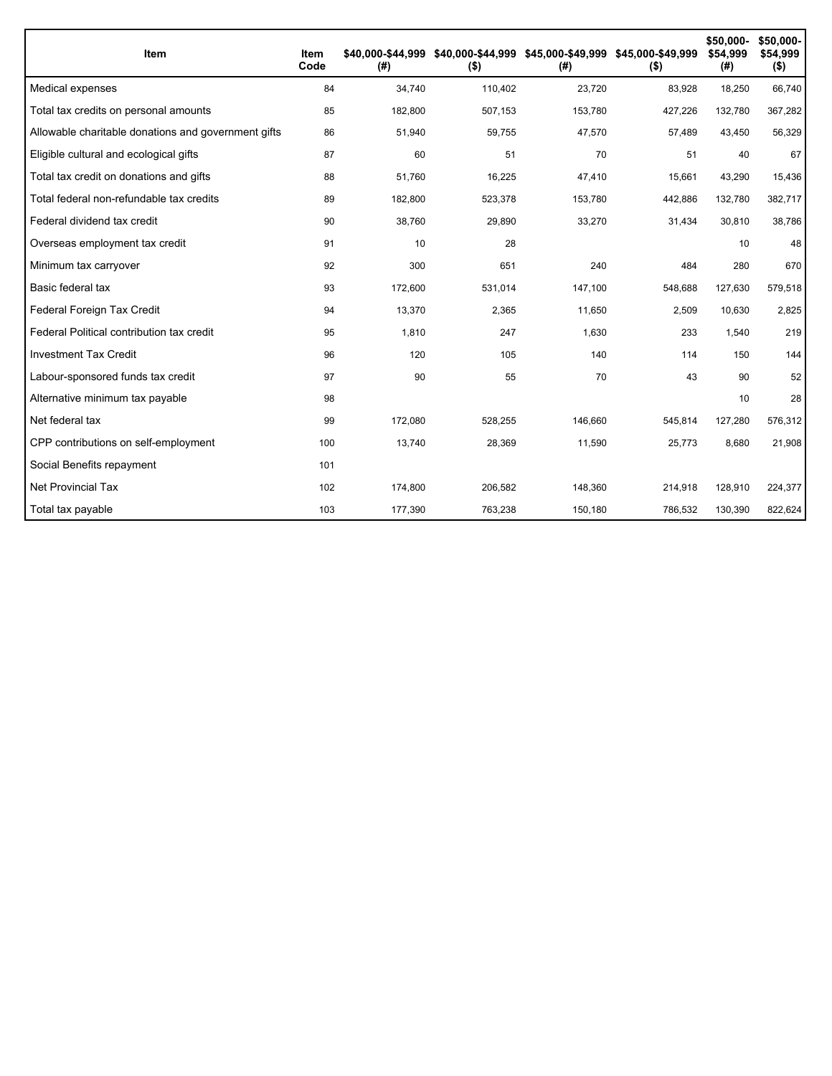| Item                                                | Item<br>Code | (# )    | \$40,000-\$44,999 \$40,000-\$44,999 \$45,000-\$49,999 \$45,000-\$49,999<br>$($ \$) | (# )    | $($ \$) | \$50,000-<br>\$54,999<br>(#) | \$50,000-<br>\$54,999<br>$($ \$) |
|-----------------------------------------------------|--------------|---------|------------------------------------------------------------------------------------|---------|---------|------------------------------|----------------------------------|
| Medical expenses                                    | 84           | 34,740  | 110,402                                                                            | 23,720  | 83,928  | 18,250                       | 66,740                           |
| Total tax credits on personal amounts               | 85           | 182,800 | 507,153                                                                            | 153,780 | 427,226 | 132,780                      | 367,282                          |
| Allowable charitable donations and government gifts | 86           | 51,940  | 59,755                                                                             | 47,570  | 57,489  | 43,450                       | 56,329                           |
| Eligible cultural and ecological gifts              | 87           | 60      | 51                                                                                 | 70      | 51      | 40                           | 67                               |
| Total tax credit on donations and gifts             | 88           | 51,760  | 16,225                                                                             | 47,410  | 15,661  | 43,290                       | 15,436                           |
| Total federal non-refundable tax credits            | 89           | 182,800 | 523,378                                                                            | 153,780 | 442,886 | 132,780                      | 382,717                          |
| Federal dividend tax credit                         | 90           | 38,760  | 29,890                                                                             | 33,270  | 31,434  | 30,810                       | 38,786                           |
| Overseas employment tax credit                      | 91           | 10      | 28                                                                                 |         |         | 10                           | 48                               |
| Minimum tax carryover                               | 92           | 300     | 651                                                                                | 240     | 484     | 280                          | 670                              |
| Basic federal tax                                   | 93           | 172,600 | 531,014                                                                            | 147,100 | 548,688 | 127,630                      | 579,518                          |
| Federal Foreign Tax Credit                          | 94           | 13,370  | 2,365                                                                              | 11,650  | 2,509   | 10,630                       | 2,825                            |
| Federal Political contribution tax credit           | 95           | 1,810   | 247                                                                                | 1,630   | 233     | 1,540                        | 219                              |
| <b>Investment Tax Credit</b>                        | 96           | 120     | 105                                                                                | 140     | 114     | 150                          | 144                              |
| Labour-sponsored funds tax credit                   | 97           | 90      | 55                                                                                 | 70      | 43      | 90                           | 52                               |
| Alternative minimum tax payable                     | 98           |         |                                                                                    |         |         | 10                           | 28                               |
| Net federal tax                                     | 99           | 172,080 | 528,255                                                                            | 146,660 | 545,814 | 127,280                      | 576,312                          |
| CPP contributions on self-employment                | 100          | 13.740  | 28.369                                                                             | 11.590  | 25,773  | 8.680                        | 21,908                           |
| Social Benefits repayment                           | 101          |         |                                                                                    |         |         |                              |                                  |
| <b>Net Provincial Tax</b>                           | 102          | 174,800 | 206,582                                                                            | 148,360 | 214,918 | 128,910                      | 224,377                          |
| Total tax payable                                   | 103          | 177,390 | 763,238                                                                            | 150,180 | 786,532 | 130,390                      | 822,624                          |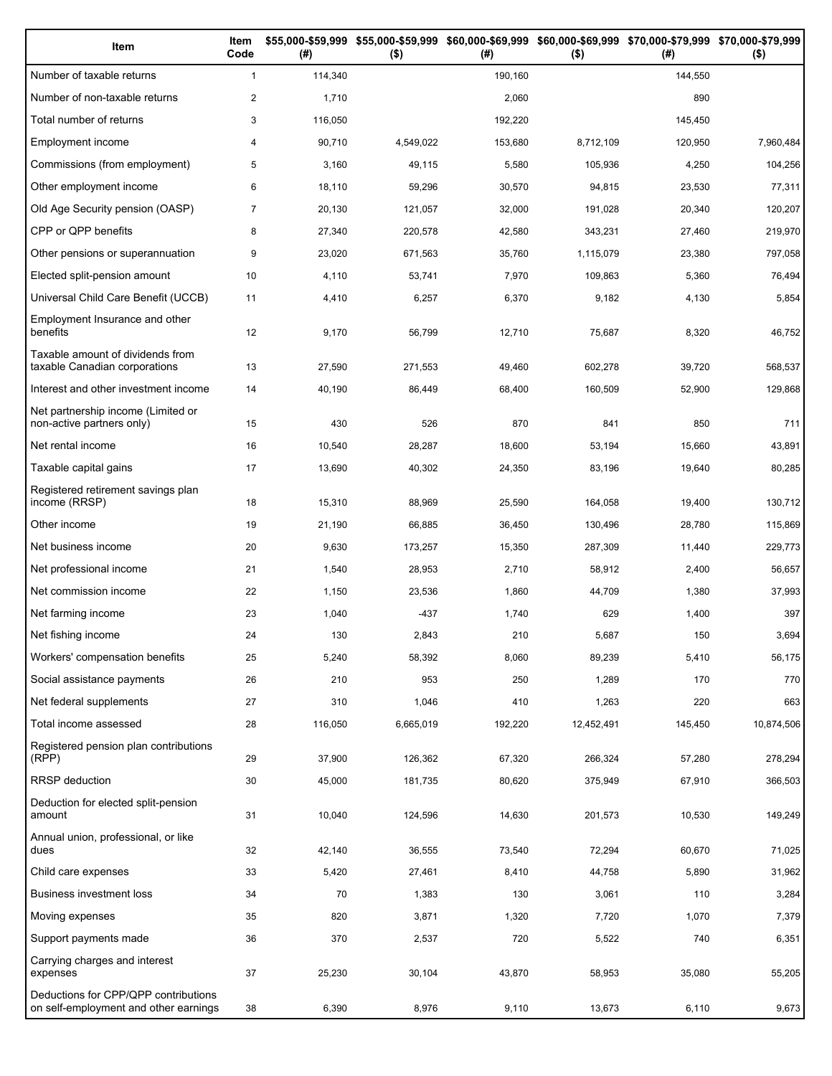| Item                                                                          | Item<br>Code   | (#)     | \$55,000-\$59,999 \$55,000-\$59,999 \$60,000-\$69,999 \$60,000-\$69,999 \$70,000-\$79,999 \$70,000-\$79,999<br>$($ \$) | (#)     | $($ \$)    | (#)     | $($ \$)    |
|-------------------------------------------------------------------------------|----------------|---------|------------------------------------------------------------------------------------------------------------------------|---------|------------|---------|------------|
| Number of taxable returns                                                     | $\mathbf{1}$   | 114,340 |                                                                                                                        | 190,160 |            | 144,550 |            |
| Number of non-taxable returns                                                 | $\overline{c}$ | 1,710   |                                                                                                                        | 2,060   |            | 890     |            |
| Total number of returns                                                       | 3              | 116,050 |                                                                                                                        | 192,220 |            | 145,450 |            |
| Employment income                                                             | 4              | 90,710  | 4,549,022                                                                                                              | 153,680 | 8,712,109  | 120,950 | 7,960,484  |
| Commissions (from employment)                                                 | 5              | 3,160   | 49,115                                                                                                                 | 5,580   | 105,936    | 4,250   | 104,256    |
| Other employment income                                                       | 6              | 18,110  | 59,296                                                                                                                 | 30,570  | 94,815     | 23,530  | 77,311     |
| Old Age Security pension (OASP)                                               | $\overline{7}$ | 20,130  | 121,057                                                                                                                | 32,000  | 191,028    | 20,340  | 120,207    |
| CPP or QPP benefits                                                           | 8              | 27,340  | 220,578                                                                                                                | 42,580  | 343,231    | 27,460  | 219,970    |
| Other pensions or superannuation                                              | 9              | 23,020  | 671,563                                                                                                                | 35,760  | 1,115,079  | 23,380  | 797,058    |
| Elected split-pension amount                                                  | 10             | 4,110   | 53,741                                                                                                                 | 7,970   | 109,863    | 5,360   | 76,494     |
| Universal Child Care Benefit (UCCB)                                           | 11             | 4,410   | 6,257                                                                                                                  | 6,370   | 9,182      | 4,130   | 5,854      |
| Employment Insurance and other<br>benefits                                    | 12             | 9,170   | 56,799                                                                                                                 | 12,710  | 75,687     | 8,320   | 46,752     |
| Taxable amount of dividends from<br>taxable Canadian corporations             | 13             | 27,590  | 271,553                                                                                                                | 49,460  | 602,278    | 39,720  | 568,537    |
| Interest and other investment income                                          | 14             | 40,190  | 86,449                                                                                                                 | 68,400  | 160,509    | 52,900  | 129,868    |
| Net partnership income (Limited or<br>non-active partners only)               | 15             | 430     | 526                                                                                                                    | 870     | 841        | 850     | 711        |
| Net rental income                                                             | 16             | 10,540  | 28,287                                                                                                                 | 18,600  | 53,194     | 15,660  | 43,891     |
| Taxable capital gains                                                         | 17             | 13,690  | 40,302                                                                                                                 | 24,350  | 83,196     | 19,640  | 80,285     |
| Registered retirement savings plan<br>income (RRSP)                           | 18             | 15,310  | 88,969                                                                                                                 | 25,590  | 164,058    | 19,400  | 130,712    |
| Other income                                                                  | 19             | 21,190  | 66,885                                                                                                                 | 36,450  | 130,496    | 28,780  | 115,869    |
| Net business income                                                           | 20             | 9,630   | 173,257                                                                                                                | 15,350  | 287,309    | 11,440  | 229,773    |
| Net professional income                                                       | 21             | 1,540   | 28,953                                                                                                                 | 2,710   | 58,912     | 2,400   | 56,657     |
| Net commission income                                                         | 22             | 1,150   | 23,536                                                                                                                 | 1,860   | 44,709     | 1,380   | 37,993     |
| Net farming income                                                            | 23             | 1,040   | $-437$                                                                                                                 | 1,740   | 629        | 1,400   | 397        |
| Net fishing income                                                            | 24             | 130     | 2,843                                                                                                                  | 210     | 5,687      | 150     | 3,694      |
| Workers' compensation benefits                                                | 25             | 5,240   | 58,392                                                                                                                 | 8,060   | 89,239     | 5,410   | 56,175     |
| Social assistance payments                                                    | 26             | 210     | 953                                                                                                                    | 250     | 1,289      | 170     | 770        |
| Net federal supplements                                                       | 27             | 310     | 1,046                                                                                                                  | 410     | 1,263      | 220     | 663        |
| Total income assessed                                                         | 28             | 116,050 | 6,665,019                                                                                                              | 192,220 | 12,452,491 | 145,450 | 10,874,506 |
| Registered pension plan contributions<br>(RPP)                                | 29             | 37,900  | 126,362                                                                                                                | 67,320  | 266,324    | 57,280  | 278,294    |
| RRSP deduction                                                                | 30             | 45,000  | 181,735                                                                                                                | 80,620  | 375,949    | 67,910  | 366,503    |
| Deduction for elected split-pension<br>amount                                 | 31             | 10,040  | 124,596                                                                                                                | 14,630  | 201,573    | 10,530  | 149,249    |
| Annual union, professional, or like<br>dues                                   | 32             | 42,140  | 36,555                                                                                                                 | 73,540  | 72,294     | 60,670  | 71,025     |
| Child care expenses                                                           | 33             | 5,420   | 27,461                                                                                                                 | 8,410   | 44,758     | 5,890   | 31,962     |
| Business investment loss                                                      | 34             | 70      | 1,383                                                                                                                  | 130     | 3,061      | 110     | 3,284      |
| Moving expenses                                                               | 35             | 820     | 3,871                                                                                                                  | 1,320   | 7,720      | 1,070   | 7,379      |
| Support payments made                                                         | 36             | 370     | 2,537                                                                                                                  | 720     | 5,522      | 740     | 6,351      |
| Carrying charges and interest<br>expenses                                     | 37             | 25,230  | 30,104                                                                                                                 | 43,870  | 58,953     | 35,080  | 55,205     |
| Deductions for CPP/QPP contributions<br>on self-employment and other earnings | 38             | 6,390   | 8,976                                                                                                                  | 9,110   | 13,673     | 6,110   | 9,673      |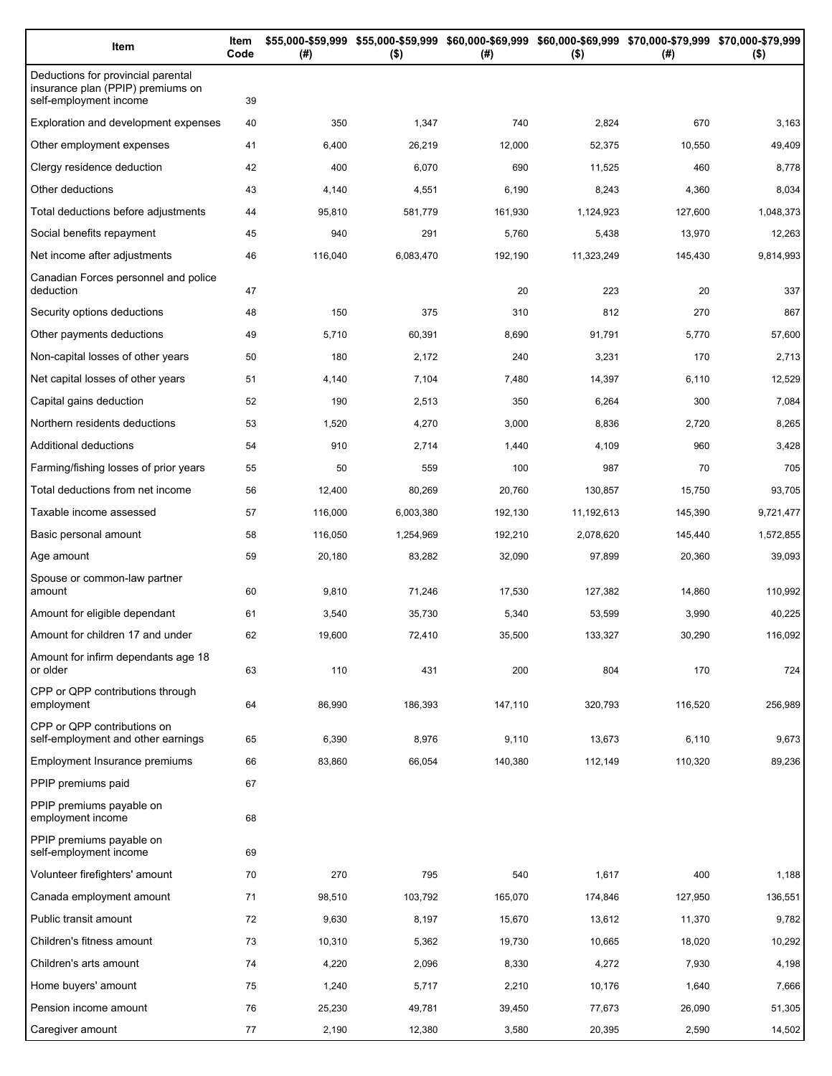| Item                                                                                              | Item<br>Code | (# )    | $($ \$)   | \$55,000-\$59,999 \$55,000-\$59,999 \$60,000-\$69,999 \$60,000-\$69,999 \$70,000-\$79,999 \$70,000-\$79,999<br>(#) | $($ \$)    | (#)     | $($ \$)   |
|---------------------------------------------------------------------------------------------------|--------------|---------|-----------|--------------------------------------------------------------------------------------------------------------------|------------|---------|-----------|
| Deductions for provincial parental<br>insurance plan (PPIP) premiums on<br>self-employment income | 39           |         |           |                                                                                                                    |            |         |           |
| Exploration and development expenses                                                              | 40           | 350     | 1,347     | 740                                                                                                                | 2,824      | 670     | 3,163     |
| Other employment expenses                                                                         | 41           | 6,400   | 26,219    | 12,000                                                                                                             | 52,375     | 10,550  | 49,409    |
| Clergy residence deduction                                                                        | 42           | 400     | 6,070     | 690                                                                                                                | 11,525     | 460     | 8,778     |
| Other deductions                                                                                  | 43           | 4,140   | 4,551     | 6,190                                                                                                              | 8,243      | 4,360   | 8,034     |
| Total deductions before adjustments                                                               | 44           | 95,810  | 581,779   | 161,930                                                                                                            | 1,124,923  | 127,600 | 1,048,373 |
| Social benefits repayment                                                                         | 45           | 940     | 291       | 5,760                                                                                                              | 5,438      | 13,970  | 12,263    |
| Net income after adjustments                                                                      | 46           | 116,040 | 6,083,470 | 192,190                                                                                                            | 11,323,249 | 145,430 | 9,814,993 |
| Canadian Forces personnel and police<br>deduction                                                 | 47           |         |           | 20                                                                                                                 | 223        | 20      | 337       |
| Security options deductions                                                                       | 48           | 150     | 375       | 310                                                                                                                | 812        | 270     | 867       |
| Other payments deductions                                                                         | 49           | 5,710   | 60,391    | 8,690                                                                                                              | 91,791     | 5,770   | 57,600    |
| Non-capital losses of other years                                                                 | 50           | 180     | 2,172     | 240                                                                                                                | 3,231      | 170     | 2,713     |
| Net capital losses of other years                                                                 | 51           | 4,140   | 7,104     | 7,480                                                                                                              | 14,397     | 6,110   | 12,529    |
| Capital gains deduction                                                                           | 52           | 190     | 2,513     | 350                                                                                                                | 6,264      | 300     | 7,084     |
| Northern residents deductions                                                                     | 53           | 1,520   | 4,270     | 3,000                                                                                                              | 8,836      | 2,720   | 8,265     |
| Additional deductions                                                                             | 54           | 910     | 2,714     | 1,440                                                                                                              | 4,109      | 960     | 3,428     |
| Farming/fishing losses of prior years                                                             | 55           | 50      | 559       | 100                                                                                                                | 987        | 70      | 705       |
| Total deductions from net income                                                                  | 56           | 12,400  | 80,269    | 20,760                                                                                                             | 130,857    | 15,750  | 93,705    |
| Taxable income assessed                                                                           | 57           | 116,000 | 6,003,380 | 192,130                                                                                                            | 11,192,613 | 145,390 | 9,721,477 |
| Basic personal amount                                                                             | 58           | 116,050 | 1,254,969 | 192,210                                                                                                            | 2,078,620  | 145,440 | 1,572,855 |
| Age amount                                                                                        | 59           | 20,180  | 83,282    | 32,090                                                                                                             | 97,899     | 20,360  | 39,093    |
| Spouse or common-law partner<br>amount                                                            | 60           | 9,810   | 71,246    | 17,530                                                                                                             | 127,382    | 14,860  | 110,992   |
| Amount for eligible dependant                                                                     | 61           | 3,540   | 35,730    | 5,340                                                                                                              | 53,599     | 3,990   | 40,225    |
| Amount for children 17 and under                                                                  | 62           | 19,600  | 72,410    | 35,500                                                                                                             | 133,327    | 30,290  | 116,092   |
| Amount for infirm dependants age 18<br>or older                                                   | 63           | 110     | 431       | 200                                                                                                                | 804        | 170     | 724       |
| CPP or QPP contributions through<br>employment                                                    | 64           | 86,990  | 186,393   | 147,110                                                                                                            | 320,793    | 116,520 | 256,989   |
| CPP or QPP contributions on<br>self-employment and other earnings                                 | 65           | 6,390   | 8,976     | 9,110                                                                                                              | 13,673     | 6,110   | 9,673     |
| Employment Insurance premiums                                                                     | 66           | 83,860  | 66,054    | 140,380                                                                                                            | 112,149    | 110,320 | 89,236    |
| PPIP premiums paid                                                                                | 67           |         |           |                                                                                                                    |            |         |           |
| PPIP premiums payable on<br>employment income                                                     | 68           |         |           |                                                                                                                    |            |         |           |
| PPIP premiums payable on<br>self-employment income                                                | 69           |         |           |                                                                                                                    |            |         |           |
| Volunteer firefighters' amount                                                                    | 70           | 270     | 795       | 540                                                                                                                | 1,617      | 400     | 1,188     |
| Canada employment amount                                                                          | 71           | 98,510  | 103,792   | 165,070                                                                                                            | 174,846    | 127,950 | 136,551   |
| Public transit amount                                                                             | 72           | 9,630   | 8,197     | 15,670                                                                                                             | 13,612     | 11,370  | 9,782     |
| Children's fitness amount                                                                         | 73           | 10,310  | 5,362     | 19,730                                                                                                             | 10,665     | 18,020  | 10,292    |
| Children's arts amount                                                                            | 74           | 4,220   | 2,096     | 8,330                                                                                                              | 4,272      | 7,930   | 4,198     |
| Home buyers' amount                                                                               | 75           | 1,240   | 5,717     | 2,210                                                                                                              | 10,176     | 1,640   | 7,666     |
| Pension income amount                                                                             | 76           | 25,230  | 49,781    | 39,450                                                                                                             | 77,673     | 26,090  | 51,305    |
| Caregiver amount                                                                                  | 77           | 2,190   | 12,380    | 3,580                                                                                                              | 20,395     | 2,590   | 14,502    |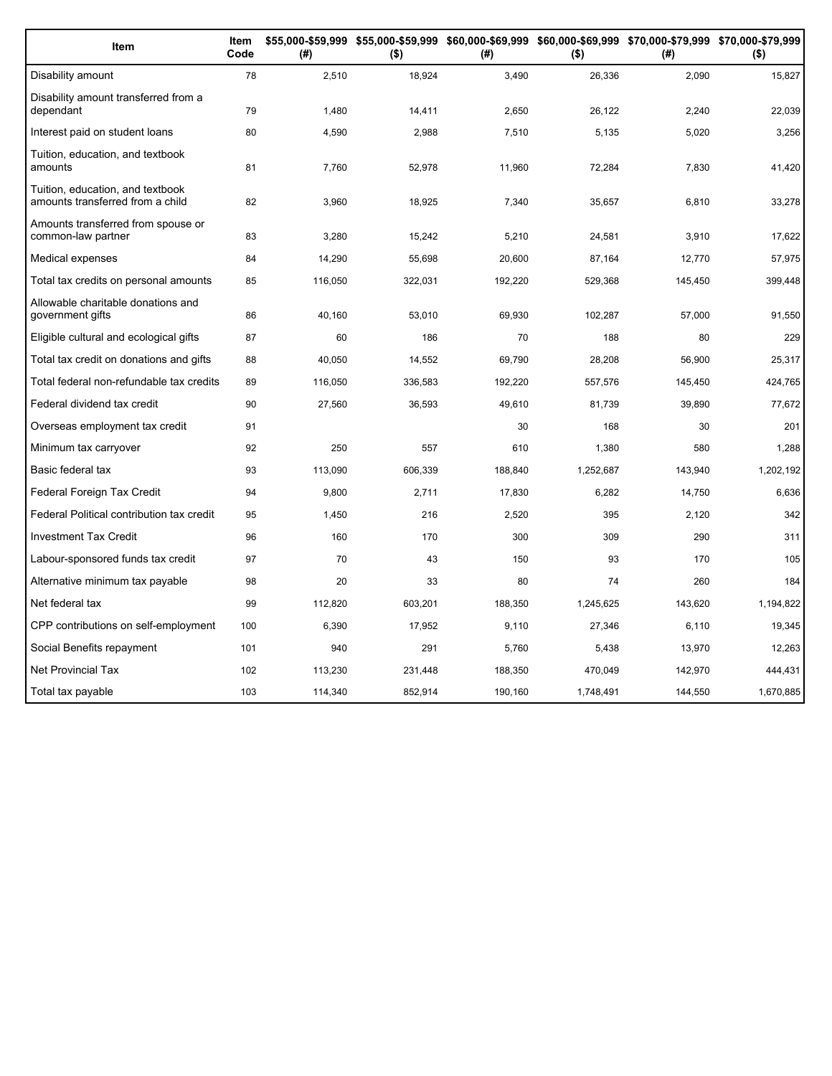| Item                                                                 | Item<br>Code | (#)     | \$55,000-\$59,999 \$55,000-\$59,999 \$60,000-\$69,999 \$60,000-\$69,999 \$70,000-\$79,999 \$70,000-\$79,999<br>$($ \$) | (#)     | $($ \$)   | (#)     | $($ \$)   |
|----------------------------------------------------------------------|--------------|---------|------------------------------------------------------------------------------------------------------------------------|---------|-----------|---------|-----------|
| Disability amount                                                    | 78           | 2,510   | 18,924                                                                                                                 | 3,490   | 26,336    | 2,090   | 15,827    |
| Disability amount transferred from a<br>dependant                    | 79           | 1,480   | 14,411                                                                                                                 | 2,650   | 26,122    | 2,240   | 22,039    |
| Interest paid on student loans                                       | 80           | 4.590   | 2,988                                                                                                                  | 7,510   | 5,135     | 5,020   | 3,256     |
| Tuition, education, and textbook<br>amounts                          | 81           | 7,760   | 52,978                                                                                                                 | 11,960  | 72,284    | 7,830   | 41,420    |
| Tuition, education, and textbook<br>amounts transferred from a child | 82           | 3,960   | 18,925                                                                                                                 | 7,340   | 35,657    | 6,810   | 33,278    |
| Amounts transferred from spouse or<br>common-law partner             | 83           | 3,280   | 15,242                                                                                                                 | 5,210   | 24,581    | 3,910   | 17,622    |
| Medical expenses                                                     | 84           | 14,290  | 55,698                                                                                                                 | 20,600  | 87,164    | 12,770  | 57,975    |
| Total tax credits on personal amounts                                | 85           | 116,050 | 322,031                                                                                                                | 192,220 | 529,368   | 145,450 | 399,448   |
| Allowable charitable donations and<br>government gifts               | 86           | 40,160  | 53,010                                                                                                                 | 69,930  | 102,287   | 57,000  | 91,550    |
| Eligible cultural and ecological gifts                               | 87           | 60      | 186                                                                                                                    | 70      | 188       | 80      | 229       |
| Total tax credit on donations and gifts                              | 88           | 40,050  | 14,552                                                                                                                 | 69,790  | 28.208    | 56.900  | 25,317    |
| Total federal non-refundable tax credits                             | 89           | 116,050 | 336,583                                                                                                                | 192,220 | 557,576   | 145,450 | 424,765   |
| Federal dividend tax credit                                          | 90           | 27,560  | 36,593                                                                                                                 | 49,610  | 81,739    | 39,890  | 77,672    |
| Overseas employment tax credit                                       | 91           |         |                                                                                                                        | 30      | 168       | 30      | 201       |
| Minimum tax carryover                                                | 92           | 250     | 557                                                                                                                    | 610     | 1,380     | 580     | 1,288     |
| Basic federal tax                                                    | 93           | 113,090 | 606,339                                                                                                                | 188,840 | 1,252,687 | 143,940 | 1,202,192 |
| Federal Foreign Tax Credit                                           | 94           | 9.800   | 2,711                                                                                                                  | 17,830  | 6,282     | 14,750  | 6,636     |
| Federal Political contribution tax credit                            | 95           | 1,450   | 216                                                                                                                    | 2,520   | 395       | 2,120   | 342       |
| <b>Investment Tax Credit</b>                                         | 96           | 160     | 170                                                                                                                    | 300     | 309       | 290     | 311       |
| Labour-sponsored funds tax credit                                    | 97           | 70      | 43                                                                                                                     | 150     | 93        | 170     | 105       |
| Alternative minimum tax payable                                      | 98           | 20      | 33                                                                                                                     | 80      | 74        | 260     | 184       |
| Net federal tax                                                      | 99           | 112,820 | 603,201                                                                                                                | 188,350 | 1,245,625 | 143,620 | 1,194,822 |
| CPP contributions on self-employment                                 | 100          | 6,390   | 17,952                                                                                                                 | 9,110   | 27,346    | 6,110   | 19,345    |
| Social Benefits repayment                                            | 101          | 940     | 291                                                                                                                    | 5,760   | 5,438     | 13,970  | 12,263    |
| <b>Net Provincial Tax</b>                                            | 102          | 113,230 | 231,448                                                                                                                | 188,350 | 470,049   | 142,970 | 444,431   |
| Total tax payable                                                    | 103          | 114,340 | 852,914                                                                                                                | 190,160 | 1,748,491 | 144,550 | 1,670,885 |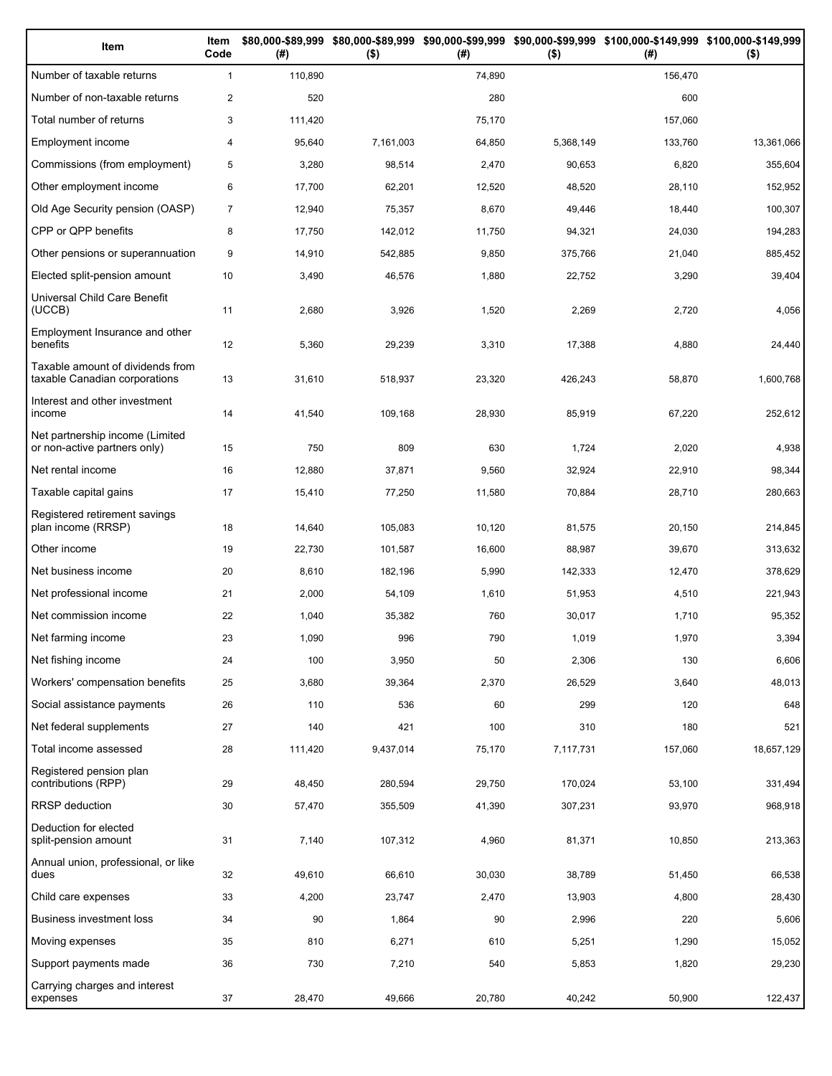| Item                                                              | Item<br>Code   | (# )    | $($ \$)   | (#)    | $($ \$)   | \$80,000-\$89,999 \$80,000-\$89,999 \$90,000-\$99,999 \$90,000-\$99,999 \$100,000-\$149,999 \$100,000-\$149,999<br>(# ) | $($ \$)    |
|-------------------------------------------------------------------|----------------|---------|-----------|--------|-----------|-------------------------------------------------------------------------------------------------------------------------|------------|
| Number of taxable returns                                         | $\mathbf{1}$   | 110,890 |           | 74,890 |           | 156,470                                                                                                                 |            |
| Number of non-taxable returns                                     | $\mathbf{2}$   | 520     |           | 280    |           | 600                                                                                                                     |            |
| Total number of returns                                           | 3              | 111,420 |           | 75,170 |           | 157,060                                                                                                                 |            |
| Employment income                                                 | 4              | 95,640  | 7,161,003 | 64,850 | 5,368,149 | 133,760                                                                                                                 | 13,361,066 |
| Commissions (from employment)                                     | 5              | 3,280   | 98,514    | 2,470  | 90,653    | 6,820                                                                                                                   | 355,604    |
| Other employment income                                           | 6              | 17,700  | 62,201    | 12,520 | 48,520    | 28,110                                                                                                                  | 152,952    |
| Old Age Security pension (OASP)                                   | $\overline{7}$ | 12,940  | 75,357    | 8,670  | 49,446    | 18,440                                                                                                                  | 100,307    |
| CPP or QPP benefits                                               | 8              | 17,750  | 142,012   | 11,750 | 94,321    | 24,030                                                                                                                  | 194,283    |
| Other pensions or superannuation                                  | 9              | 14,910  | 542,885   | 9,850  | 375,766   | 21,040                                                                                                                  | 885,452    |
| Elected split-pension amount                                      | 10             | 3,490   | 46,576    | 1,880  | 22,752    | 3,290                                                                                                                   | 39,404     |
| Universal Child Care Benefit<br>(UCCB)                            | 11             | 2,680   | 3,926     | 1,520  | 2,269     | 2,720                                                                                                                   | 4,056      |
| Employment Insurance and other<br>benefits                        | 12             | 5,360   | 29,239    | 3,310  | 17,388    | 4,880                                                                                                                   | 24,440     |
| Taxable amount of dividends from<br>taxable Canadian corporations | 13             | 31,610  | 518,937   | 23,320 | 426,243   | 58,870                                                                                                                  | 1,600,768  |
| Interest and other investment<br>income                           | 14             | 41,540  | 109,168   | 28,930 | 85,919    | 67,220                                                                                                                  | 252,612    |
| Net partnership income (Limited<br>or non-active partners only)   | 15             | 750     | 809       | 630    | 1,724     | 2,020                                                                                                                   | 4,938      |
| Net rental income                                                 | 16             | 12,880  | 37,871    | 9,560  | 32,924    | 22,910                                                                                                                  | 98,344     |
| Taxable capital gains                                             | 17             | 15,410  | 77,250    | 11,580 | 70,884    | 28,710                                                                                                                  | 280,663    |
| Registered retirement savings<br>plan income (RRSP)               | 18             | 14,640  | 105,083   | 10,120 | 81,575    | 20,150                                                                                                                  | 214,845    |
| Other income                                                      | 19             | 22,730  | 101,587   | 16,600 | 88,987    | 39,670                                                                                                                  | 313,632    |
| Net business income                                               | 20             | 8,610   | 182,196   | 5,990  | 142,333   | 12,470                                                                                                                  | 378,629    |
| Net professional income                                           | 21             | 2,000   | 54,109    | 1,610  | 51,953    | 4,510                                                                                                                   | 221,943    |
| Net commission income                                             | 22             | 1,040   | 35,382    | 760    | 30,017    | 1,710                                                                                                                   | 95,352     |
| Net farming income                                                | 23             | 1,090   | 996       | 790    | 1,019     | 1,970                                                                                                                   | 3,394      |
| Net fishing income                                                | 24             | 100     | 3,950     | 50     | 2,306     | 130                                                                                                                     | 6,606      |
| Workers' compensation benefits                                    | 25             | 3,680   | 39,364    | 2,370  | 26,529    | 3,640                                                                                                                   | 48,013     |
| Social assistance payments                                        | 26             | 110     | 536       | 60     | 299       | 120                                                                                                                     | 648        |
| Net federal supplements                                           | 27             | 140     | 421       | 100    | 310       | 180                                                                                                                     | 521        |
| Total income assessed                                             | 28             | 111,420 | 9,437,014 | 75,170 | 7,117,731 | 157,060                                                                                                                 | 18,657,129 |
| Registered pension plan<br>contributions (RPP)                    | 29             | 48,450  | 280,594   | 29,750 | 170,024   | 53,100                                                                                                                  | 331,494    |
| <b>RRSP</b> deduction                                             | 30             | 57,470  | 355,509   | 41,390 | 307,231   | 93,970                                                                                                                  | 968,918    |
| Deduction for elected<br>split-pension amount                     | 31             | 7,140   | 107,312   | 4,960  | 81,371    | 10,850                                                                                                                  | 213,363    |
| Annual union, professional, or like<br>dues                       | 32             | 49,610  | 66,610    | 30,030 | 38,789    | 51,450                                                                                                                  | 66,538     |
| Child care expenses                                               | 33             | 4,200   | 23,747    | 2,470  | 13,903    | 4,800                                                                                                                   | 28,430     |
| Business investment loss                                          | 34             | 90      | 1,864     | 90     | 2,996     | 220                                                                                                                     | 5,606      |
| Moving expenses                                                   | 35             | 810     | 6,271     | 610    | 5,251     | 1,290                                                                                                                   | 15,052     |
| Support payments made                                             | 36             | 730     | 7,210     | 540    | 5,853     | 1,820                                                                                                                   | 29,230     |
| Carrying charges and interest<br>expenses                         | 37             | 28,470  | 49,666    | 20,780 | 40,242    | 50,900                                                                                                                  | 122,437    |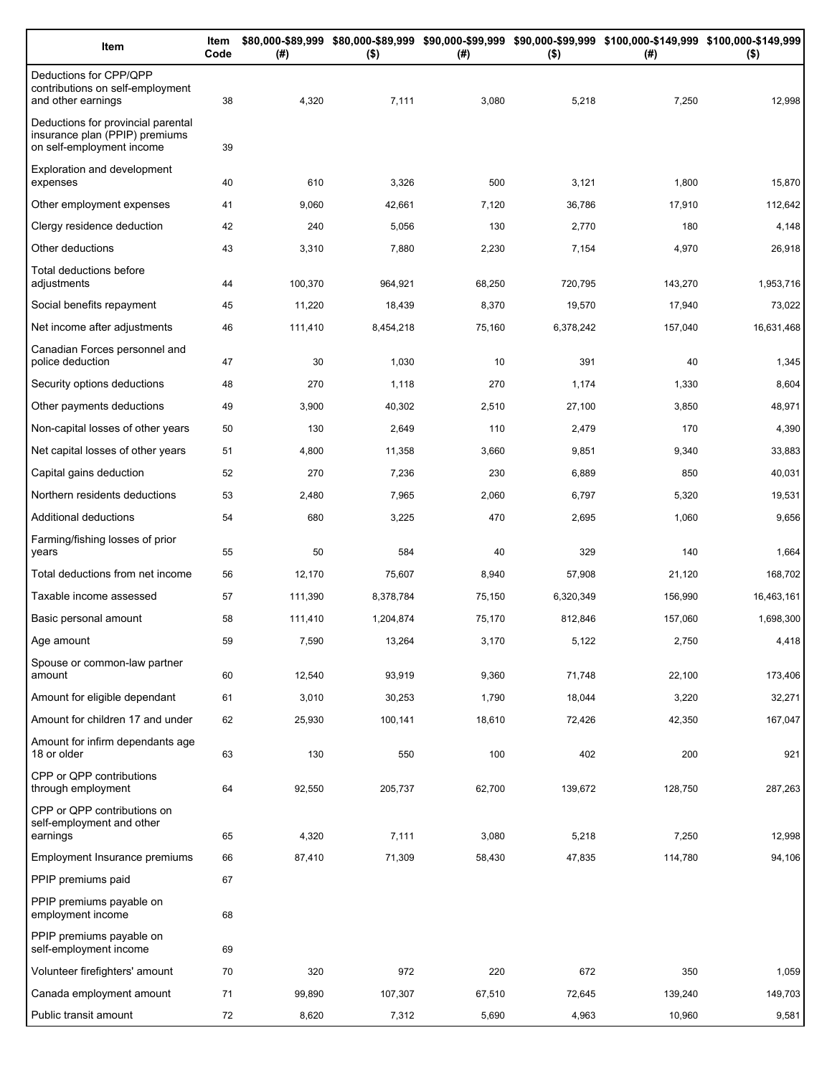| Item                                                                                              | Item<br>Code | (#)     | $($ \$)   | (#)    | $($ \$)   | \$80,000-\$89,999 \$80,000-\$89,999 \$90,000-\$99,999 \$90,000-\$99,999 \$100,000-\$149,999 \$100,000-\$149,999<br>(#) | $($ \$)    |
|---------------------------------------------------------------------------------------------------|--------------|---------|-----------|--------|-----------|------------------------------------------------------------------------------------------------------------------------|------------|
| Deductions for CPP/QPP<br>contributions on self-employment<br>and other earnings                  | 38           | 4,320   | 7,111     | 3,080  | 5,218     | 7,250                                                                                                                  | 12,998     |
| Deductions for provincial parental<br>insurance plan (PPIP) premiums<br>on self-employment income | 39           |         |           |        |           |                                                                                                                        |            |
| <b>Exploration and development</b><br>expenses                                                    | 40           | 610     | 3,326     | 500    | 3,121     | 1,800                                                                                                                  | 15,870     |
| Other employment expenses                                                                         | 41           | 9,060   | 42,661    | 7,120  | 36,786    | 17,910                                                                                                                 | 112,642    |
| Clergy residence deduction                                                                        | 42           | 240     | 5,056     | 130    | 2,770     | 180                                                                                                                    | 4,148      |
| Other deductions                                                                                  | 43           | 3,310   | 7,880     | 2,230  | 7,154     | 4,970                                                                                                                  | 26,918     |
| Total deductions before<br>adjustments                                                            | 44           | 100,370 | 964,921   | 68,250 | 720,795   | 143,270                                                                                                                | 1,953,716  |
| Social benefits repayment                                                                         | 45           | 11,220  | 18,439    | 8,370  | 19,570    | 17,940                                                                                                                 | 73,022     |
| Net income after adjustments                                                                      | 46           | 111,410 | 8,454,218 | 75,160 | 6,378,242 | 157,040                                                                                                                | 16,631,468 |
| Canadian Forces personnel and<br>police deduction                                                 | 47           | 30      | 1,030     | 10     | 391       | 40                                                                                                                     | 1,345      |
| Security options deductions                                                                       | 48           | 270     | 1,118     | 270    | 1,174     | 1,330                                                                                                                  | 8,604      |
| Other payments deductions                                                                         | 49           | 3,900   | 40,302    | 2,510  | 27,100    | 3,850                                                                                                                  | 48,971     |
| Non-capital losses of other years                                                                 | 50           | 130     | 2,649     | 110    | 2,479     | 170                                                                                                                    | 4,390      |
| Net capital losses of other years                                                                 | 51           | 4,800   | 11,358    | 3,660  | 9,851     | 9,340                                                                                                                  | 33,883     |
| Capital gains deduction                                                                           | 52           | 270     | 7,236     | 230    | 6,889     | 850                                                                                                                    | 40,031     |
| Northern residents deductions                                                                     | 53           | 2,480   | 7,965     | 2,060  | 6,797     | 5,320                                                                                                                  | 19,531     |
| Additional deductions                                                                             | 54           | 680     | 3,225     | 470    | 2,695     | 1,060                                                                                                                  | 9,656      |
| Farming/fishing losses of prior<br>years                                                          | 55           | 50      | 584       | 40     | 329       | 140                                                                                                                    | 1,664      |
| Total deductions from net income                                                                  | 56           | 12,170  | 75,607    | 8,940  | 57,908    | 21,120                                                                                                                 | 168,702    |
| Taxable income assessed                                                                           | 57           | 111,390 | 8,378,784 | 75,150 | 6,320,349 | 156,990                                                                                                                | 16,463,161 |
| Basic personal amount                                                                             | 58           | 111,410 | 1,204,874 | 75,170 | 812,846   | 157,060                                                                                                                | 1,698,300  |
| Age amount                                                                                        | 59           | 7,590   | 13,264    | 3,170  | 5,122     | 2,750                                                                                                                  | 4,418      |
| Spouse or common-law partner<br>amount                                                            | 60           | 12,540  | 93,919    | 9,360  | 71,748    | 22,100                                                                                                                 | 173,406    |
| Amount for eligible dependant                                                                     | 61           | 3,010   | 30,253    | 1,790  | 18,044    | 3,220                                                                                                                  | 32,271     |
| Amount for children 17 and under                                                                  | 62           | 25,930  | 100,141   | 18,610 | 72,426    | 42,350                                                                                                                 | 167,047    |
| Amount for infirm dependants age<br>18 or older                                                   | 63           | 130     | 550       | 100    | 402       | 200                                                                                                                    | 921        |
| CPP or QPP contributions<br>through employment                                                    | 64           | 92,550  | 205,737   | 62,700 | 139,672   | 128,750                                                                                                                | 287,263    |
| CPP or QPP contributions on<br>self-employment and other                                          |              |         |           |        |           |                                                                                                                        |            |
| earnings                                                                                          | 65           | 4,320   | 7,111     | 3,080  | 5,218     | 7,250                                                                                                                  | 12,998     |
| Employment Insurance premiums<br>PPIP premiums paid                                               | 66<br>67     | 87,410  | 71,309    | 58,430 | 47,835    | 114,780                                                                                                                | 94,106     |
| PPIP premiums payable on                                                                          |              |         |           |        |           |                                                                                                                        |            |
| employment income                                                                                 | 68           |         |           |        |           |                                                                                                                        |            |
| PPIP premiums payable on<br>self-employment income                                                | 69           |         |           |        |           |                                                                                                                        |            |
| Volunteer firefighters' amount                                                                    | 70           | 320     | 972       | 220    | 672       | 350                                                                                                                    | 1,059      |
| Canada employment amount                                                                          | 71           | 99,890  | 107,307   | 67,510 | 72,645    | 139,240                                                                                                                | 149,703    |
| Public transit amount                                                                             | 72           | 8,620   | 7,312     | 5,690  | 4,963     | 10,960                                                                                                                 | 9,581      |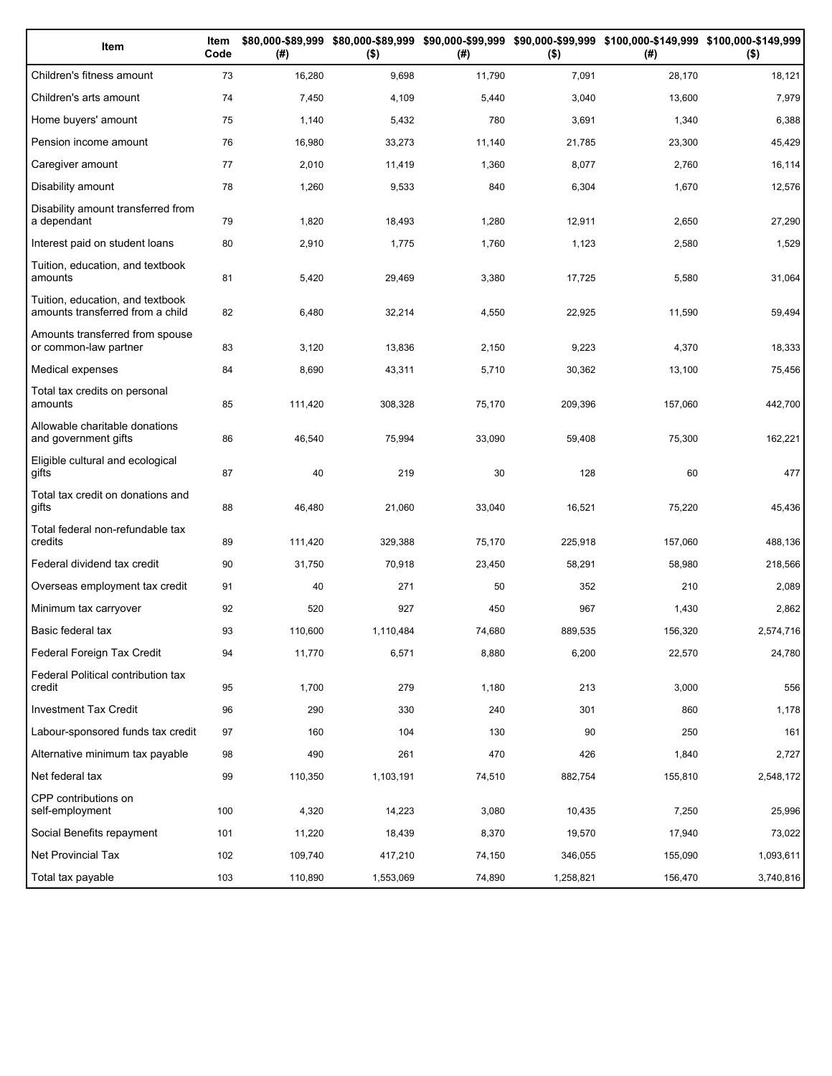| Item                                                                 | Item<br>Code | (# )    | $($ \$)   | (#)    | $($ \$)   | \$80,000-\$89,999 \$80,000-\$89,999 \$90,000-\$99,999 \$90,000-\$99,999 \$100,000-\$149,999 \$100,000-\$149,999<br>(#) | $($ \$)   |
|----------------------------------------------------------------------|--------------|---------|-----------|--------|-----------|------------------------------------------------------------------------------------------------------------------------|-----------|
| Children's fitness amount                                            | 73           | 16,280  | 9,698     | 11,790 | 7,091     | 28,170                                                                                                                 | 18,121    |
| Children's arts amount                                               | 74           | 7,450   | 4,109     | 5,440  | 3,040     | 13,600                                                                                                                 | 7,979     |
| Home buyers' amount                                                  | 75           | 1,140   | 5,432     | 780    | 3,691     | 1,340                                                                                                                  | 6,388     |
| Pension income amount                                                | 76           | 16,980  | 33,273    | 11,140 | 21,785    | 23,300                                                                                                                 | 45,429    |
| Caregiver amount                                                     | 77           | 2,010   | 11,419    | 1,360  | 8,077     | 2,760                                                                                                                  | 16,114    |
| Disability amount                                                    | 78           | 1,260   | 9,533     | 840    | 6,304     | 1,670                                                                                                                  | 12,576    |
| Disability amount transferred from<br>a dependant                    | 79           | 1,820   | 18,493    | 1,280  | 12,911    | 2,650                                                                                                                  | 27,290    |
| Interest paid on student loans                                       | 80           | 2,910   | 1,775     | 1,760  | 1,123     | 2,580                                                                                                                  | 1,529     |
| Tuition, education, and textbook<br>amounts                          | 81           | 5,420   | 29,469    | 3,380  | 17,725    | 5,580                                                                                                                  | 31,064    |
| Tuition, education, and textbook<br>amounts transferred from a child | 82           | 6,480   | 32,214    | 4,550  | 22,925    | 11,590                                                                                                                 | 59,494    |
| Amounts transferred from spouse<br>or common-law partner             | 83           | 3,120   | 13,836    | 2,150  | 9,223     | 4,370                                                                                                                  | 18,333    |
| Medical expenses                                                     | 84           | 8,690   | 43,311    | 5,710  | 30,362    | 13,100                                                                                                                 | 75,456    |
| Total tax credits on personal<br>amounts                             | 85           | 111,420 | 308,328   | 75,170 | 209,396   | 157,060                                                                                                                | 442,700   |
| Allowable charitable donations<br>and government gifts               | 86           | 46,540  | 75,994    | 33,090 | 59,408    | 75,300                                                                                                                 | 162,221   |
| Eligible cultural and ecological<br>gifts                            | 87           | 40      | 219       | 30     | 128       | 60                                                                                                                     | 477       |
| Total tax credit on donations and<br>gifts                           | 88           | 46,480  | 21,060    | 33,040 | 16,521    | 75,220                                                                                                                 | 45,436    |
| Total federal non-refundable tax<br>credits                          | 89           | 111,420 | 329,388   | 75,170 | 225,918   | 157,060                                                                                                                | 488,136   |
| Federal dividend tax credit                                          | 90           | 31,750  | 70,918    | 23,450 | 58,291    | 58,980                                                                                                                 | 218,566   |
| Overseas employment tax credit                                       | 91           | 40      | 271       | 50     | 352       | 210                                                                                                                    | 2,089     |
| Minimum tax carryover                                                | 92           | 520     | 927       | 450    | 967       | 1,430                                                                                                                  | 2,862     |
| Basic federal tax                                                    | 93           | 110,600 | 1,110,484 | 74,680 | 889,535   | 156,320                                                                                                                | 2,574,716 |
| Federal Foreign Tax Credit                                           | 94           | 11,770  | 6,571     | 8,880  | 6,200     | 22,570                                                                                                                 | 24,780    |
| Federal Political contribution tax<br>credit                         | 95           | 1,700   | 279       | 1,180  | 213       | 3,000                                                                                                                  | 556       |
| Investment Tax Credit                                                | 96           | 290     | 330       | 240    | 301       | 860                                                                                                                    | 1,178     |
| Labour-sponsored funds tax credit                                    | 97           | 160     | 104       | 130    | 90        | 250                                                                                                                    | 161       |
| Alternative minimum tax payable                                      | 98           | 490     | 261       | 470    | 426       | 1,840                                                                                                                  | 2,727     |
| Net federal tax                                                      | 99           | 110,350 | 1,103,191 | 74,510 | 882,754   | 155,810                                                                                                                | 2,548,172 |
| CPP contributions on<br>self-employment                              | 100          | 4,320   | 14,223    | 3,080  | 10,435    | 7,250                                                                                                                  | 25,996    |
| Social Benefits repayment                                            | 101          | 11,220  | 18,439    | 8,370  | 19,570    | 17,940                                                                                                                 | 73,022    |
| Net Provincial Tax                                                   | 102          | 109,740 | 417,210   | 74,150 | 346,055   | 155,090                                                                                                                | 1,093,611 |
| Total tax payable                                                    | 103          | 110,890 | 1,553,069 | 74,890 | 1,258,821 | 156,470                                                                                                                | 3,740,816 |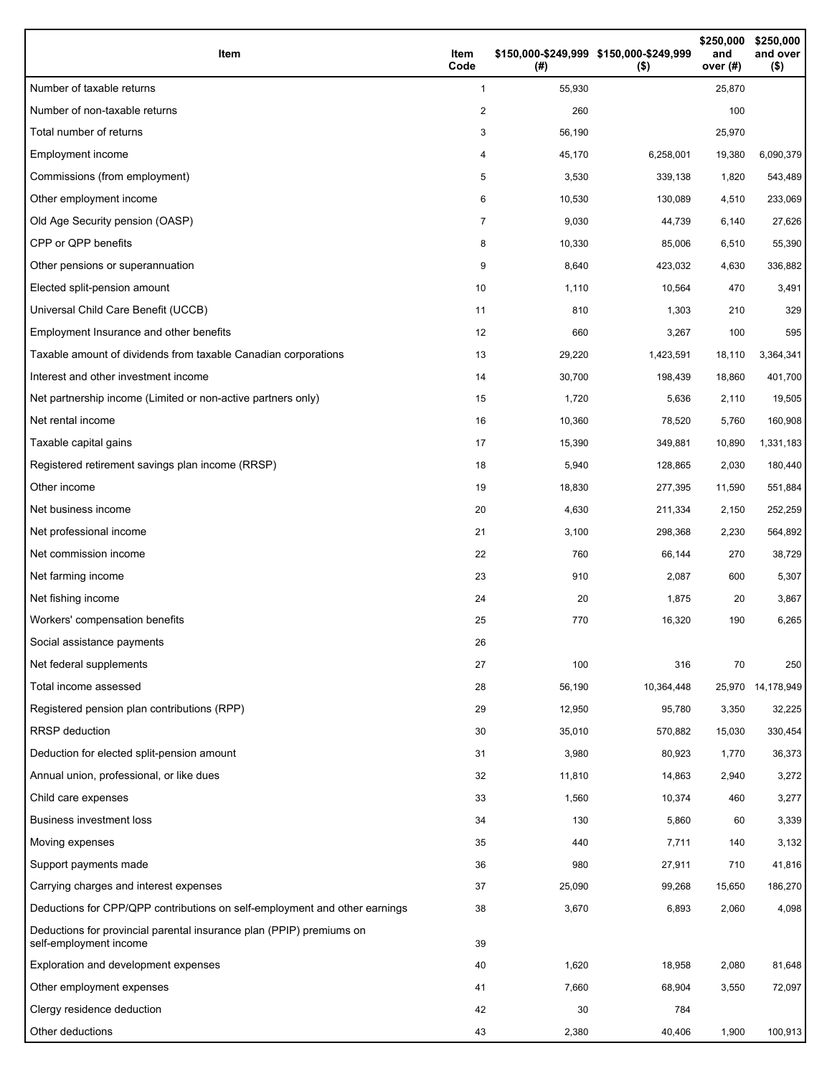| Item                                                                                           | Item<br>Code   | \$150,000-\$249,999 \$150,000-\$249,999<br>(#) | $($ \$)    | \$250,000<br>and<br>over (#) | \$250,000<br>and over<br>$($ \$) |
|------------------------------------------------------------------------------------------------|----------------|------------------------------------------------|------------|------------------------------|----------------------------------|
| Number of taxable returns                                                                      | 1              | 55,930                                         |            | 25,870                       |                                  |
| Number of non-taxable returns                                                                  | 2              | 260                                            |            | 100                          |                                  |
| Total number of returns                                                                        | 3              | 56,190                                         |            | 25,970                       |                                  |
| Employment income                                                                              | 4              | 45,170                                         | 6,258,001  | 19,380                       | 6,090,379                        |
| Commissions (from employment)                                                                  | 5              | 3,530                                          | 339,138    | 1,820                        | 543,489                          |
| Other employment income                                                                        | 6              | 10,530                                         | 130,089    | 4,510                        | 233,069                          |
| Old Age Security pension (OASP)                                                                | $\overline{7}$ | 9,030                                          | 44,739     | 6,140                        | 27,626                           |
| CPP or QPP benefits                                                                            | 8              | 10,330                                         | 85,006     | 6,510                        | 55,390                           |
| Other pensions or superannuation                                                               | 9              | 8,640                                          | 423,032    | 4,630                        | 336,882                          |
| Elected split-pension amount                                                                   | 10             | 1,110                                          | 10,564     | 470                          | 3,491                            |
| Universal Child Care Benefit (UCCB)                                                            | 11             | 810                                            | 1,303      | 210                          | 329                              |
| Employment Insurance and other benefits                                                        | 12             | 660                                            | 3,267      | 100                          | 595                              |
| Taxable amount of dividends from taxable Canadian corporations                                 | 13             | 29,220                                         | 1,423,591  | 18,110                       | 3,364,341                        |
| Interest and other investment income                                                           | 14             | 30,700                                         | 198,439    | 18,860                       | 401,700                          |
| Net partnership income (Limited or non-active partners only)                                   | 15             | 1,720                                          | 5,636      | 2,110                        | 19,505                           |
| Net rental income                                                                              | 16             | 10,360                                         | 78,520     | 5,760                        | 160,908                          |
| Taxable capital gains                                                                          | 17             | 15,390                                         | 349,881    | 10,890                       | 1,331,183                        |
| Registered retirement savings plan income (RRSP)                                               | 18             | 5,940                                          | 128,865    | 2,030                        | 180,440                          |
| Other income                                                                                   | 19             | 18,830                                         | 277,395    | 11,590                       | 551,884                          |
| Net business income                                                                            | 20             | 4,630                                          | 211,334    | 2,150                        | 252,259                          |
| Net professional income                                                                        | 21             | 3,100                                          | 298,368    | 2,230                        | 564,892                          |
| Net commission income                                                                          | 22             | 760                                            | 66,144     | 270                          | 38,729                           |
| Net farming income                                                                             | 23             | 910                                            | 2,087      | 600                          | 5,307                            |
| Net fishing income                                                                             | 24             | 20                                             | 1,875      | 20                           | 3,867                            |
| Workers' compensation benefits                                                                 | 25             | 770                                            | 16,320     | 190                          | 6,265                            |
| Social assistance payments                                                                     | 26             |                                                |            |                              |                                  |
| Net federal supplements                                                                        | 27             | 100                                            | 316        | 70                           | 250                              |
| Total income assessed                                                                          | 28             | 56,190                                         | 10,364,448 | 25,970                       | 14,178,949                       |
| Registered pension plan contributions (RPP)                                                    | 29             | 12,950                                         | 95,780     | 3,350                        | 32,225                           |
| RRSP deduction                                                                                 | 30             | 35,010                                         | 570,882    | 15,030                       | 330,454                          |
| Deduction for elected split-pension amount                                                     | 31             | 3,980                                          | 80,923     | 1,770                        | 36,373                           |
| Annual union, professional, or like dues                                                       | 32             | 11,810                                         | 14,863     | 2,940                        | 3,272                            |
| Child care expenses                                                                            | 33             | 1,560                                          | 10,374     | 460                          | 3,277                            |
| Business investment loss                                                                       | 34             | 130                                            | 5,860      | 60                           | 3,339                            |
| Moving expenses                                                                                | 35             | 440                                            | 7,711      | 140                          | 3,132                            |
| Support payments made                                                                          | 36             | 980                                            | 27,911     | 710                          | 41,816                           |
| Carrying charges and interest expenses                                                         | 37             | 25,090                                         | 99,268     | 15,650                       | 186,270                          |
| Deductions for CPP/QPP contributions on self-employment and other earnings                     | 38             | 3,670                                          | 6,893      | 2,060                        | 4,098                            |
| Deductions for provincial parental insurance plan (PPIP) premiums on<br>self-employment income | 39             |                                                |            |                              |                                  |
| Exploration and development expenses                                                           | 40             | 1,620                                          | 18,958     | 2,080                        | 81,648                           |
| Other employment expenses                                                                      | 41             | 7,660                                          | 68,904     | 3,550                        | 72,097                           |
| Clergy residence deduction                                                                     | 42             | 30                                             | 784        |                              |                                  |
| Other deductions                                                                               | 43             | 2,380                                          | 40,406     | 1,900                        | 100,913                          |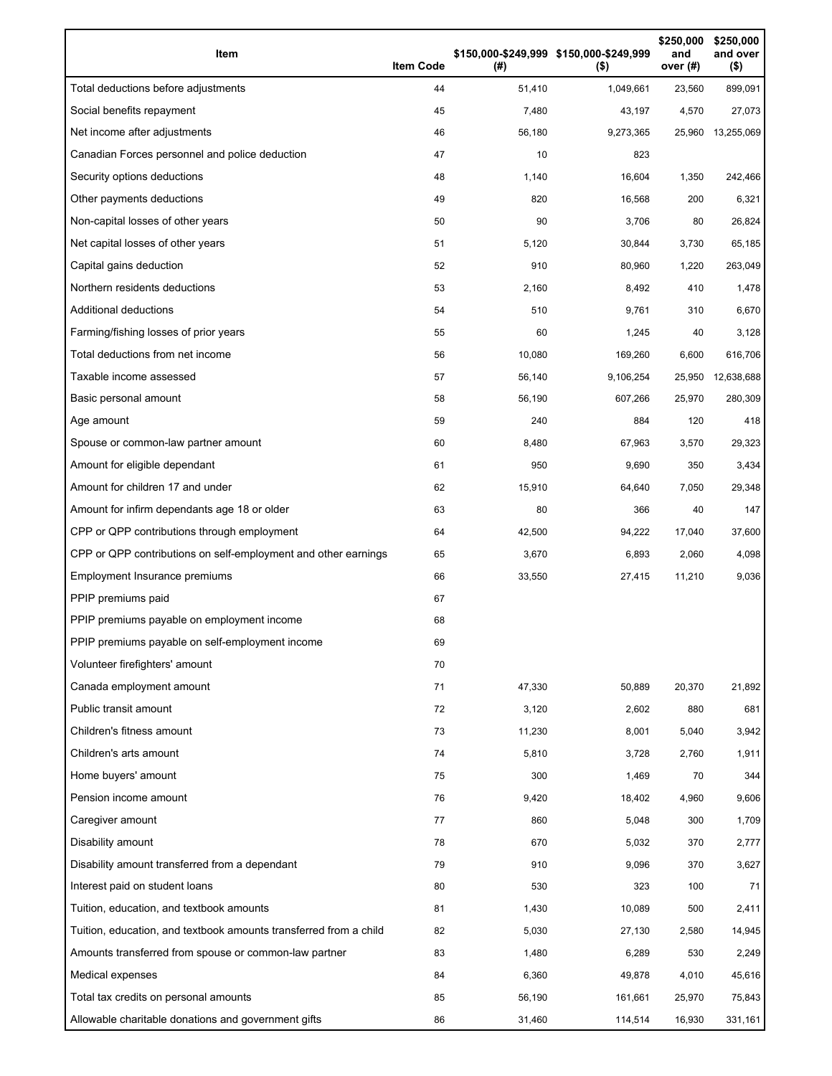| Item                                                              | <b>Item Code</b> | (#)    | \$150,000-\$249,999 \$150,000-\$249,999<br>$($ \$) | \$250,000<br>and<br>over (#) | \$250,000<br>and over<br>$($ \$) |
|-------------------------------------------------------------------|------------------|--------|----------------------------------------------------|------------------------------|----------------------------------|
| Total deductions before adjustments                               | 44               | 51,410 | 1,049,661                                          | 23,560                       | 899,091                          |
| Social benefits repayment                                         | 45               | 7,480  | 43,197                                             | 4,570                        | 27,073                           |
| Net income after adjustments                                      | 46               | 56,180 | 9,273,365                                          | 25,960                       | 13,255,069                       |
| Canadian Forces personnel and police deduction                    | 47               | 10     | 823                                                |                              |                                  |
| Security options deductions                                       | 48               | 1,140  | 16,604                                             | 1,350                        | 242,466                          |
| Other payments deductions                                         | 49               | 820    | 16,568                                             | 200                          | 6,321                            |
| Non-capital losses of other years                                 | 50               | 90     | 3,706                                              | 80                           | 26,824                           |
| Net capital losses of other years                                 | 51               | 5,120  | 30,844                                             | 3,730                        | 65,185                           |
| Capital gains deduction                                           | 52               | 910    | 80,960                                             | 1,220                        | 263,049                          |
| Northern residents deductions                                     | 53               | 2,160  | 8,492                                              | 410                          | 1,478                            |
| Additional deductions                                             | 54               | 510    | 9,761                                              | 310                          | 6,670                            |
| Farming/fishing losses of prior years                             | 55               | 60     | 1,245                                              | 40                           | 3,128                            |
| Total deductions from net income                                  | 56               | 10,080 | 169,260                                            | 6,600                        | 616,706                          |
| Taxable income assessed                                           | 57               | 56,140 | 9,106,254                                          | 25,950                       | 12,638,688                       |
| Basic personal amount                                             | 58               | 56,190 | 607,266                                            | 25,970                       | 280,309                          |
| Age amount                                                        | 59               | 240    | 884                                                | 120                          | 418                              |
| Spouse or common-law partner amount                               | 60               | 8,480  | 67,963                                             | 3,570                        | 29,323                           |
| Amount for eligible dependant                                     | 61               | 950    | 9,690                                              | 350                          | 3,434                            |
| Amount for children 17 and under                                  | 62               | 15,910 | 64,640                                             | 7,050                        | 29,348                           |
| Amount for infirm dependants age 18 or older                      | 63               | 80     | 366                                                | 40                           | 147                              |
| CPP or QPP contributions through employment                       | 64               | 42,500 | 94,222                                             | 17,040                       | 37,600                           |
| CPP or QPP contributions on self-employment and other earnings    | 65               | 3,670  | 6,893                                              | 2,060                        | 4,098                            |
| Employment Insurance premiums                                     | 66               | 33,550 | 27,415                                             | 11,210                       | 9,036                            |
| PPIP premiums paid                                                | 67               |        |                                                    |                              |                                  |
| PPIP premiums payable on employment income                        | 68               |        |                                                    |                              |                                  |
| PPIP premiums payable on self-employment income                   | 69               |        |                                                    |                              |                                  |
| Volunteer firefighters' amount                                    | 70               |        |                                                    |                              |                                  |
| Canada employment amount                                          | 71               | 47,330 | 50,889                                             | 20,370                       | 21,892                           |
| Public transit amount                                             | 72               | 3,120  | 2,602                                              | 880                          | 681                              |
| Children's fitness amount                                         | 73               | 11,230 | 8,001                                              | 5,040                        | 3,942                            |
| Children's arts amount                                            | 74               | 5,810  | 3,728                                              | 2,760                        | 1,911                            |
| Home buyers' amount                                               | 75               | 300    | 1,469                                              | 70                           | 344                              |
| Pension income amount                                             | 76               | 9,420  | 18,402                                             | 4,960                        | 9,606                            |
| Caregiver amount                                                  | 77               | 860    | 5,048                                              | 300                          | 1,709                            |
| Disability amount                                                 | 78               | 670    | 5,032                                              | 370                          | 2,777                            |
| Disability amount transferred from a dependant                    | 79               | 910    | 9,096                                              | 370                          | 3,627                            |
| Interest paid on student loans                                    | 80               | 530    | 323                                                | 100                          | 71                               |
| Tuition, education, and textbook amounts                          | 81               | 1,430  | 10,089                                             | 500                          | 2,411                            |
| Tuition, education, and textbook amounts transferred from a child | 82               | 5,030  | 27,130                                             | 2,580                        | 14,945                           |
| Amounts transferred from spouse or common-law partner             | 83               | 1,480  | 6,289                                              | 530                          | 2,249                            |
| Medical expenses                                                  | 84               | 6,360  | 49,878                                             | 4,010                        | 45,616                           |
| Total tax credits on personal amounts                             | 85               | 56,190 | 161,661                                            | 25,970                       | 75,843                           |
| Allowable charitable donations and government gifts               | 86               | 31,460 | 114,514                                            | 16,930                       | 331,161                          |